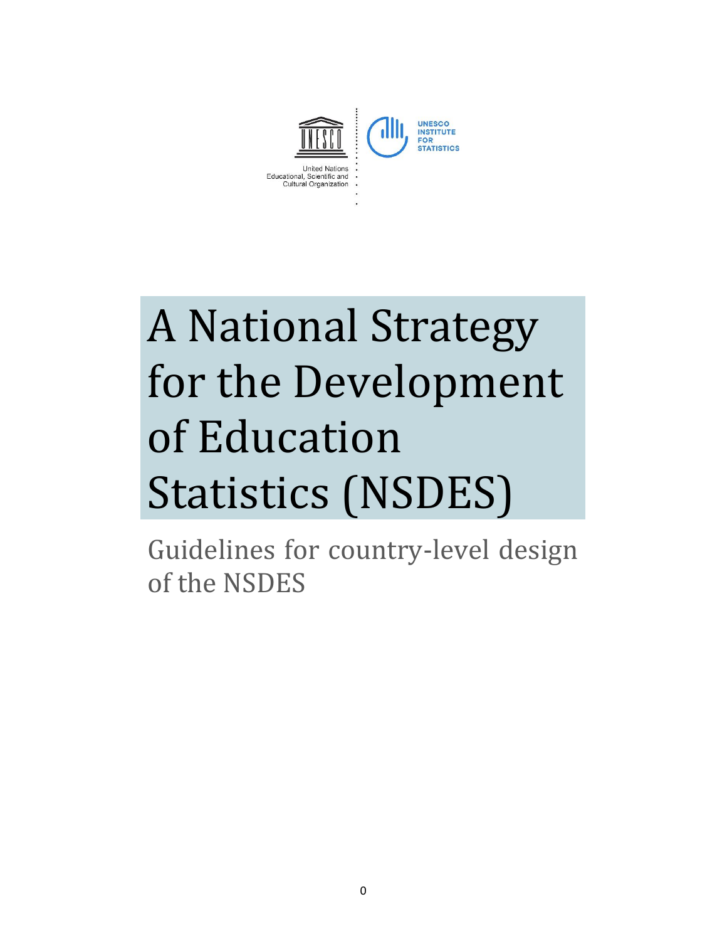

# A National Strategy for the Development of Education Statistics (NSDES)

Guidelines for country-level design of the NSDES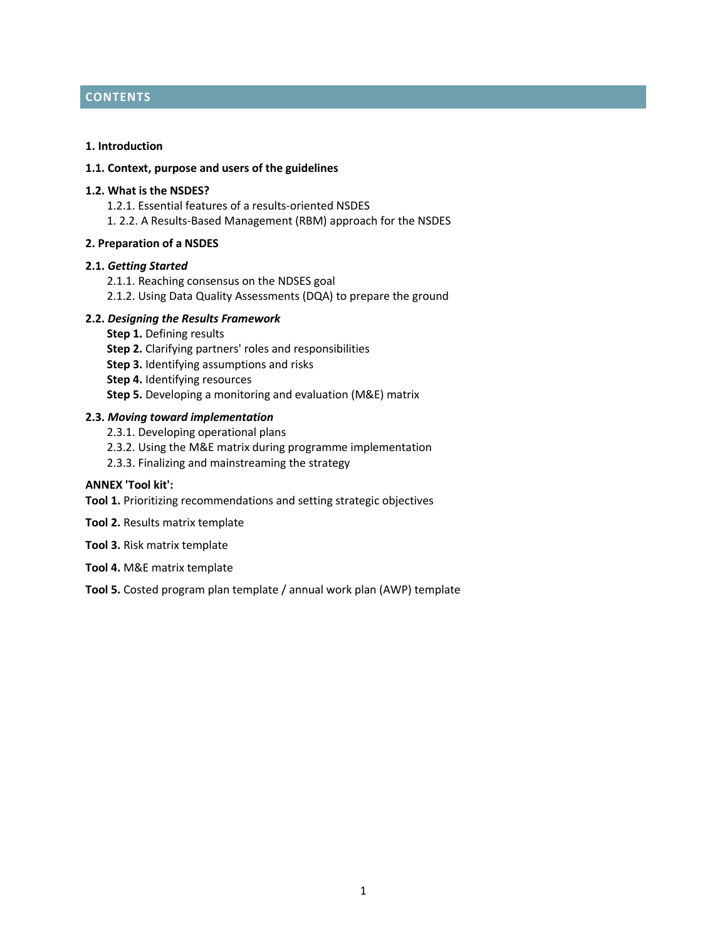# **CONTENTS**

#### **1. Introduction**

#### **1.1. Context, purpose and users of the guidelines**

#### **1.2. What is the NSDES?**

- 1.2.1. Essential features of a results-oriented NSDES
- 1. 2.2. A Results-Based Management (RBM) approach for the NSDES

#### **2. Preparation of a NSDES**

#### **2.1.** *Getting Started*

- 2.1.1. Reaching consensus on the NDSES goal
- 2.1.2. Using Data Quality Assessments (DQA) to prepare the ground

#### **2.2.** *Designing the Results Framework*

- **Step 1.** Defining results
- **Step 2.** Clarifying partners' roles and responsibilities
- **Step 3.** Identifying assumptions and risks
- **Step 4.** Identifying resources
- **Step 5.** Developing a monitoring and evaluation (M&E) matrix

#### **2.3.** *Moving toward implementation*

- 2.3.1. Developing operational plans
- 2.3.2. Using the M&E matrix during programme implementation
- 2.3.3. Finalizing and mainstreaming the strategy

## **ANNEX 'Tool kit':**

**Tool 1.** Prioritizing recommendations and setting strategic objectives

- **Tool 2.** Results matrix template
- **Tool 3.** Risk matrix template
- **Tool 4.** M&E matrix template

**Tool 5.** Costed program plan template / annual work plan (AWP) template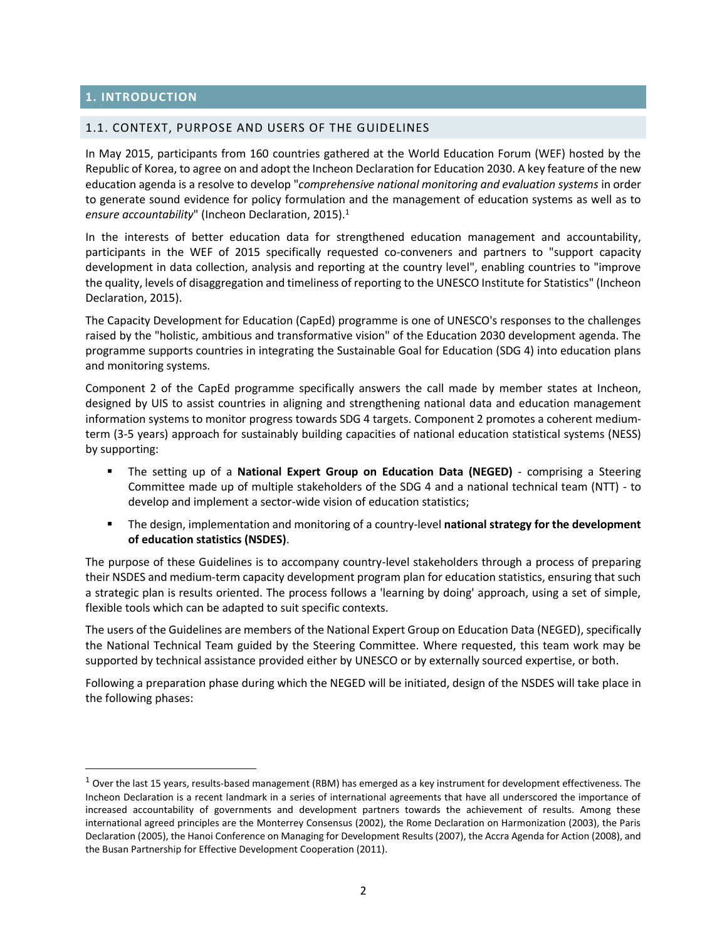## **1. INTRODUCTION**

 $\overline{a}$ 

#### 1.1. CONTEXT, PURPOSE AND USERS OF THE GUIDELINES

In May 2015, participants from 160 countries gathered at the World Education Forum (WEF) hosted by the Republic of Korea, to agree on and adopt the Incheon Declaration for Education 2030. A key feature of the new education agenda is a resolve to develop "*comprehensive national monitoring and evaluation systems* in order to generate sound evidence for policy formulation and the management of education systems as well as to *ensure accountability*" (Incheon Declaration, 2015).<sup>1</sup>

In the interests of better education data for strengthened education management and accountability, participants in the WEF of 2015 specifically requested co-conveners and partners to "support capacity development in data collection, analysis and reporting at the country level", enabling countries to "improve the quality, levels of disaggregation and timeliness of reporting to the UNESCO Institute for Statistics" (Incheon Declaration, 2015).

The Capacity Development for Education (CapEd) programme is one of UNESCO's responses to the challenges raised by the "holistic, ambitious and transformative vision" of the Education 2030 development agenda. The programme supports countries in integrating the Sustainable Goal for Education (SDG 4) into education plans and monitoring systems.

Component 2 of the CapEd programme specifically answers the call made by member states at Incheon, designed by UIS to assist countries in aligning and strengthening national data and education management information systems to monitor progress towards SDG 4 targets. Component 2 promotes a coherent mediumterm (3-5 years) approach for sustainably building capacities of national education statistical systems (NESS) by supporting:

- The setting up of a **National Expert Group on Education Data (NEGED)** comprising a Steering Committee made up of multiple stakeholders of the SDG 4 and a national technical team (NTT) - to develop and implement a sector-wide vision of education statistics;
- The design, implementation and monitoring of a country-level **national strategy for the development of education statistics (NSDES)**.

The purpose of these Guidelines is to accompany country-level stakeholders through a process of preparing their NSDES and medium-term capacity development program plan for education statistics, ensuring that such a strategic plan is results oriented. The process follows a 'learning by doing' approach, using a set of simple, flexible tools which can be adapted to suit specific contexts.

The users of the Guidelines are members of the National Expert Group on Education Data (NEGED), specifically the National Technical Team guided by the Steering Committee. Where requested, this team work may be supported by technical assistance provided either by UNESCO or by externally sourced expertise, or both.

Following a preparation phase during which the NEGED will be initiated, design of the NSDES will take place in the following phases:

 $1$  Over the last 15 years, results-based management (RBM) has emerged as a key instrument for development effectiveness. The Incheon Declaration is a recent landmark in a series of international agreements that have all underscored the importance of increased accountability of governments and development partners towards the achievement of results. Among these international agreed principles are the Monterrey Consensus (2002), the Rome Declaration on Harmonization (2003), the Paris Declaration (2005), the Hanoi Conference on Managing for Development Results (2007), the Accra Agenda for Action (2008), and the Busan Partnership for Effective Development Cooperation (2011).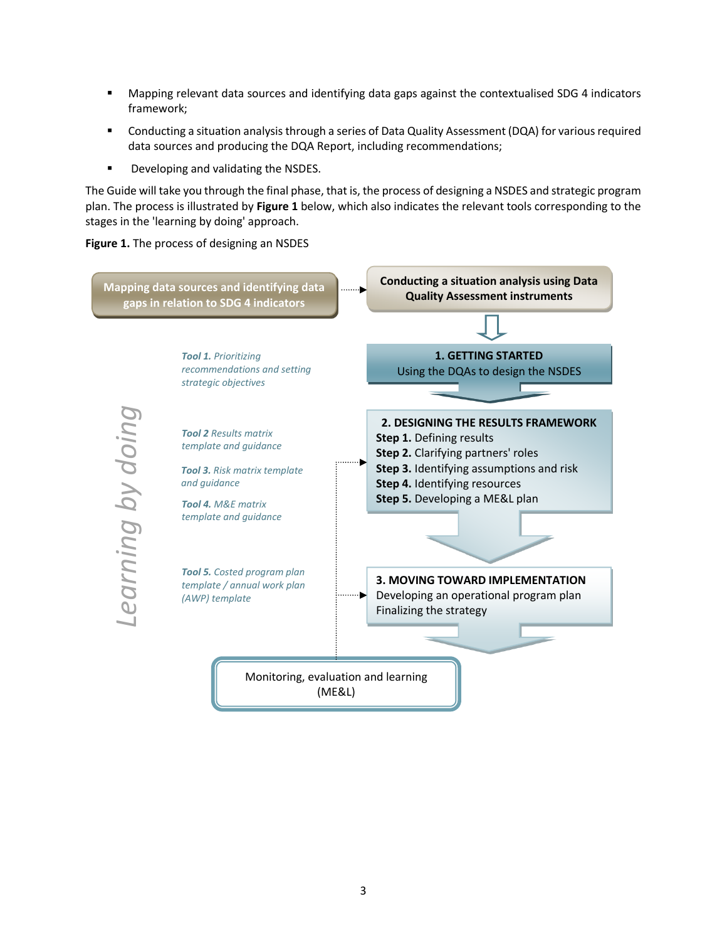- Mapping relevant data sources and identifying data gaps against the contextualised SDG 4 indicators framework;
- **Conducting a situation analysis through a series of Data Quality Assessment (DQA) for various required** data sources and producing the DQA Report, including recommendations;
- **Developing and validating the NSDES.**

The Guide will take you through the final phase, that is, the process of designing a NSDES and strategic program plan. The process is illustrated by **Figure 1** below, which also indicates the relevant tools corresponding to the stages in the 'learning by doing' approach.





3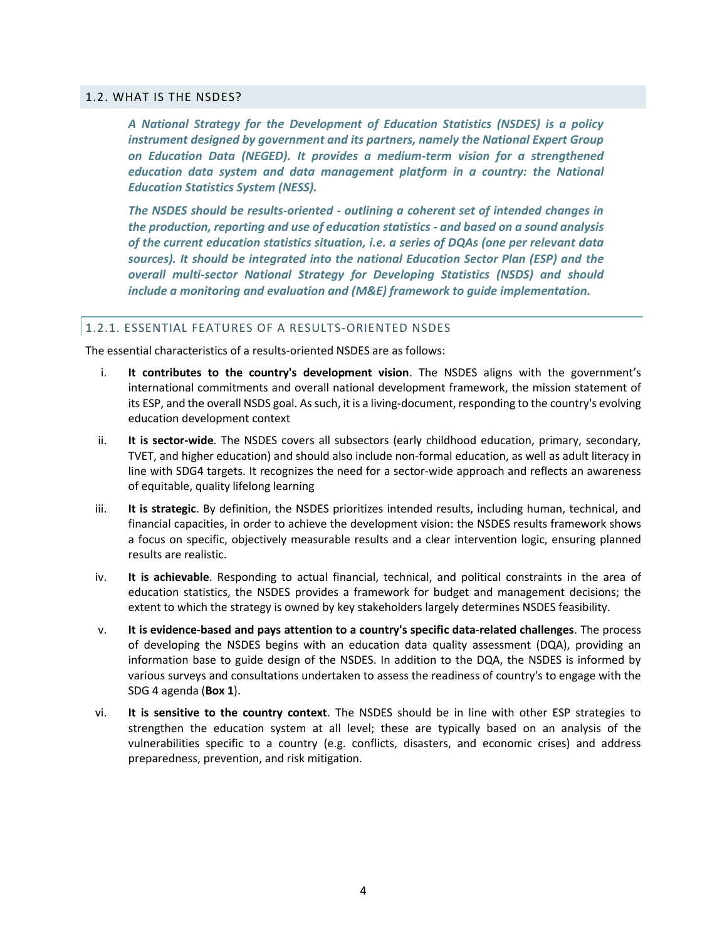#### 1.2. WHAT IS THE NSDES?

*A National Strategy for the Development of Education Statistics (NSDES) is a policy instrument designed by government and its partners, namely the National Expert Group on Education Data (NEGED). It provides a medium-term vision for a strengthened*  education data system and data management platform in a country: the National *Education Statistics System (NESS).* 

*The NSDES should be results-oriented - outlining a coherent set of intended changes in the production, reporting and use of education statistics - and based on a sound analysis of the current education statistics situation, i.e. a series of DQAs (one per relevant data sources). It should be integrated into the national Education Sector Plan (ESP) and the overall multi-sector National Strategy for Developing Statistics (NSDS) and should include a monitoring and evaluation and (M&E) framework to guide implementation.*

#### 1.2.1. ESSENTIAL FEATURES OF A RESULTS-ORIENTED NSDES

The essential characteristics of a results-oriented NSDES are as follows:

- i. **It contributes to the country's development vision**. The NSDES aligns with the government's international commitments and overall national development framework, the mission statement of its ESP, and the overall NSDS goal. As such, it is a living-document, responding to the country's evolving education development context
- ii. **It is sector-wide**. The NSDES covers all subsectors (early childhood education, primary, secondary, TVET, and higher education) and should also include non-formal education, as well as adult literacy in line with SDG4 targets. It recognizes the need for a sector-wide approach and reflects an awareness of equitable, quality lifelong learning
- iii. **It is strategic**. By definition, the NSDES prioritizes intended results, including human, technical, and financial capacities, in order to achieve the development vision: the NSDES results framework shows a focus on specific, objectively measurable results and a clear intervention logic, ensuring planned results are realistic.
- iv. **It is achievable**. Responding to actual financial, technical, and political constraints in the area of education statistics, the NSDES provides a framework for budget and management decisions; the extent to which the strategy is owned by key stakeholders largely determines NSDES feasibility.
- v. **It is evidence-based and pays attention to a country's specific data-related challenges**. The process of developing the NSDES begins with an education data quality assessment (DQA), providing an information base to guide design of the NSDES. In addition to the DQA, the NSDES is informed by various surveys and consultations undertaken to assess the readiness of country's to engage with the SDG 4 agenda (**Box 1**).
- vi. **It is sensitive to the country context**. The NSDES should be in line with other ESP strategies to strengthen the education system at all level; these are typically based on an analysis of the vulnerabilities specific to a country (e.g. conflicts, disasters, and economic crises) and address preparedness, prevention, and risk mitigation.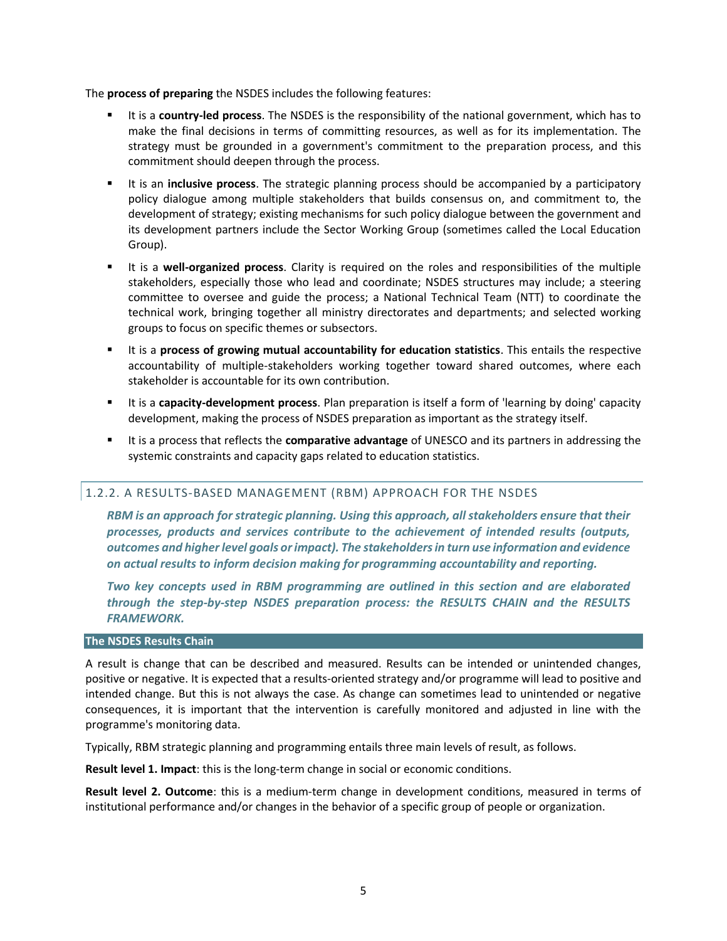The **process of preparing** the NSDES includes the following features:

- It is a **country-led process**. The NSDES is the responsibility of the national government, which has to make the final decisions in terms of committing resources, as well as for its implementation. The strategy must be grounded in a government's commitment to the preparation process, and this commitment should deepen through the process.
- It is an **inclusive process**. The strategic planning process should be accompanied by a participatory policy dialogue among multiple stakeholders that builds consensus on, and commitment to, the development of strategy; existing mechanisms for such policy dialogue between the government and its development partners include the Sector Working Group (sometimes called the Local Education Group).
- It is a **well-organized process**. Clarity is required on the roles and responsibilities of the multiple stakeholders, especially those who lead and coordinate; NSDES structures may include; a steering committee to oversee and guide the process; a National Technical Team (NTT) to coordinate the technical work, bringing together all ministry directorates and departments; and selected working groups to focus on specific themes or subsectors.
- It is a **process of growing mutual accountability for education statistics**. This entails the respective accountability of multiple-stakeholders working together toward shared outcomes, where each stakeholder is accountable for its own contribution.
- It is a **capacity-development process**. Plan preparation is itself a form of 'learning by doing' capacity development, making the process of NSDES preparation as important as the strategy itself.
- It is a process that reflects the **comparative advantage** of UNESCO and its partners in addressing the systemic constraints and capacity gaps related to education statistics.

## 1.2.2. A RESULTS-BASED MANAGEMENT (RBM) APPROACH FOR THE NSDES

*RBM is an approach for strategic planning. Using this approach, all stakeholders ensure that their processes, products and services contribute to the achievement of intended results (outputs, outcomes and higher level goals or impact). The stakeholders in turn use information and evidence on actual results to inform decision making for programming accountability and reporting.*

*Two key concepts used in RBM programming are outlined in this section and are elaborated through the step-by-step NSDES preparation process: the RESULTS CHAIN and the RESULTS FRAMEWORK.* 

# **The NSDES Results Chain**

A result is change that can be described and measured. Results can be intended or unintended changes, positive or negative. It is expected that a results-oriented strategy and/or programme will lead to positive and intended change. But this is not always the case. As change can sometimes lead to unintended or negative consequences, it is important that the intervention is carefully monitored and adjusted in line with the programme's monitoring data.

Typically, RBM strategic planning and programming entails three main levels of result, as follows.

**Result level 1. Impact**: this is the long-term change in social or economic conditions.

**Result level 2. Outcome**: this is a medium-term change in development conditions, measured in terms of institutional performance and/or changes in the behavior of a specific group of people or organization.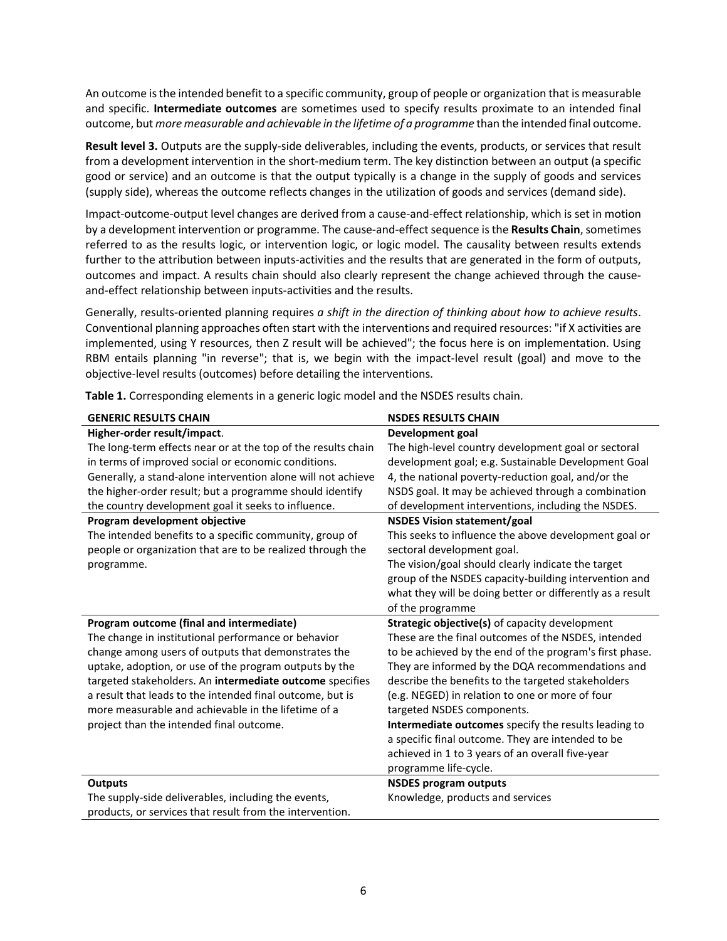An outcome is the intended benefit to a specific community, group of people or organization that is measurable and specific. **Intermediate outcomes** are sometimes used to specify results proximate to an intended final outcome, but *more measurable and achievable in the lifetime of a programme* than the intended final outcome.

**Result level 3.** Outputs are the supply-side deliverables, including the events, products, or services that result from a development intervention in the short-medium term. The key distinction between an output (a specific good or service) and an outcome is that the output typically is a change in the supply of goods and services (supply side), whereas the outcome reflects changes in the utilization of goods and services (demand side).

Impact-outcome-output level changes are derived from a cause-and-effect relationship, which is set in motion by a development intervention or programme. The cause-and-effect sequence is the **Results Chain**, sometimes referred to as the results logic, or intervention logic, or logic model. The causality between results extends further to the attribution between inputs-activities and the results that are generated in the form of outputs, outcomes and impact. A results chain should also clearly represent the change achieved through the causeand-effect relationship between inputs-activities and the results.

Generally, results-oriented planning requires *a shift in the direction of thinking about how to achieve results*. Conventional planning approaches often start with the interventions and required resources: "if X activities are implemented, using Y resources, then Z result will be achieved"; the focus here is on implementation. Using RBM entails planning "in reverse"; that is, we begin with the impact-level result (goal) and move to the objective-level results (outcomes) before detailing the interventions.

| <b>GENERIC RESULTS CHAIN</b>                                                                                    | <b>NSDES RESULTS CHAIN</b>                                |
|-----------------------------------------------------------------------------------------------------------------|-----------------------------------------------------------|
| Higher-order result/impact.                                                                                     | Development goal                                          |
| The long-term effects near or at the top of the results chain                                                   | The high-level country development goal or sectoral       |
| in terms of improved social or economic conditions.                                                             | development goal; e.g. Sustainable Development Goal       |
| Generally, a stand-alone intervention alone will not achieve                                                    | 4, the national poverty-reduction goal, and/or the        |
| the higher-order result; but a programme should identify                                                        | NSDS goal. It may be achieved through a combination       |
| the country development goal it seeks to influence.                                                             | of development interventions, including the NSDES.        |
| Program development objective                                                                                   | <b>NSDES Vision statement/goal</b>                        |
| The intended benefits to a specific community, group of                                                         | This seeks to influence the above development goal or     |
| people or organization that are to be realized through the                                                      | sectoral development goal.                                |
| programme.                                                                                                      | The vision/goal should clearly indicate the target        |
|                                                                                                                 | group of the NSDES capacity-building intervention and     |
|                                                                                                                 | what they will be doing better or differently as a result |
|                                                                                                                 | of the programme                                          |
|                                                                                                                 |                                                           |
| Program outcome (final and intermediate)                                                                        | Strategic objective(s) of capacity development            |
| The change in institutional performance or behavior                                                             | These are the final outcomes of the NSDES, intended       |
| change among users of outputs that demonstrates the                                                             | to be achieved by the end of the program's first phase.   |
| uptake, adoption, or use of the program outputs by the                                                          | They are informed by the DQA recommendations and          |
| targeted stakeholders. An intermediate outcome specifies                                                        | describe the benefits to the targeted stakeholders        |
| a result that leads to the intended final outcome, but is                                                       | (e.g. NEGED) in relation to one or more of four           |
| more measurable and achievable in the lifetime of a                                                             | targeted NSDES components.                                |
| project than the intended final outcome.                                                                        | Intermediate outcomes specify the results leading to      |
|                                                                                                                 | a specific final outcome. They are intended to be         |
|                                                                                                                 | achieved in 1 to 3 years of an overall five-year          |
|                                                                                                                 | programme life-cycle.                                     |
| <b>Outputs</b>                                                                                                  | <b>NSDES program outputs</b>                              |
| The supply-side deliverables, including the events,<br>products, or services that result from the intervention. | Knowledge, products and services                          |

**Table 1.** Corresponding elements in a generic logic model and the NSDES results chain.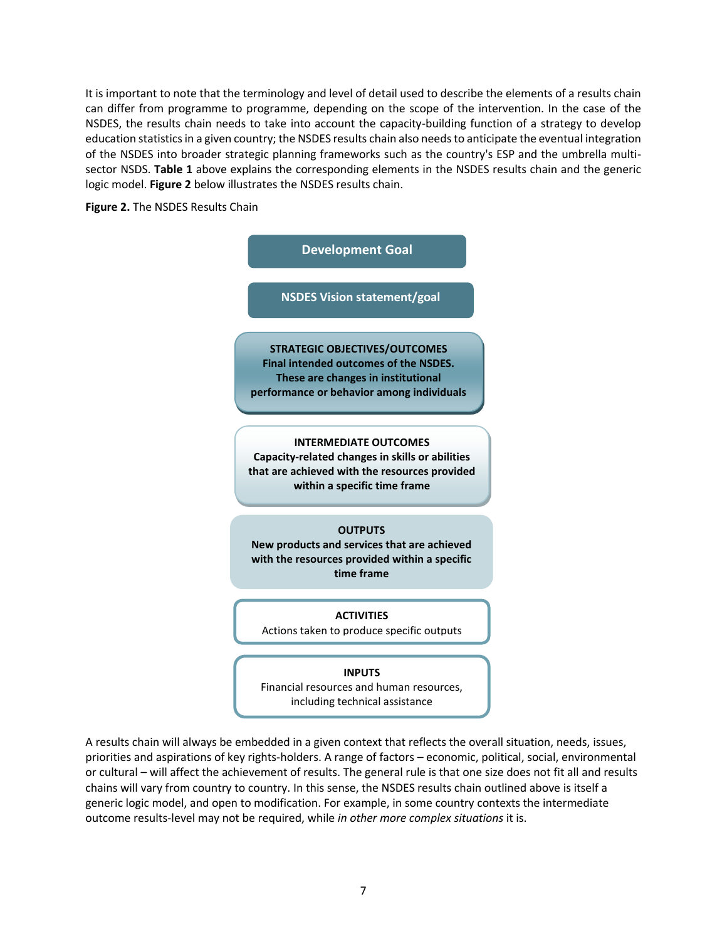It is important to note that the terminology and level of detail used to describe the elements of a results chain can differ from programme to programme, depending on the scope of the intervention. In the case of the NSDES, the results chain needs to take into account the capacity-building function of a strategy to develop education statistics in a given country; the NSDES results chain also needs to anticipate the eventual integration of the NSDES into broader strategic planning frameworks such as the country's ESP and the umbrella multisector NSDS. **Table 1** above explains the corresponding elements in the NSDES results chain and the generic logic model. **Figure 2** below illustrates the NSDES results chain.

## **Figure 2.** The NSDES Results Chain



A results chain will always be embedded in a given context that reflects the overall situation, needs, issues, priorities and aspirations of key rights-holders. A range of factors – economic, political, social, environmental or cultural – will affect the achievement of results. The general rule is that one size does not fit all and results chains will vary from country to country. In this sense, the NSDES results chain outlined above is itself a generic logic model, and open to modification. For example, in some country contexts the intermediate outcome results-level may not be required, while *in other more complex situations* it is.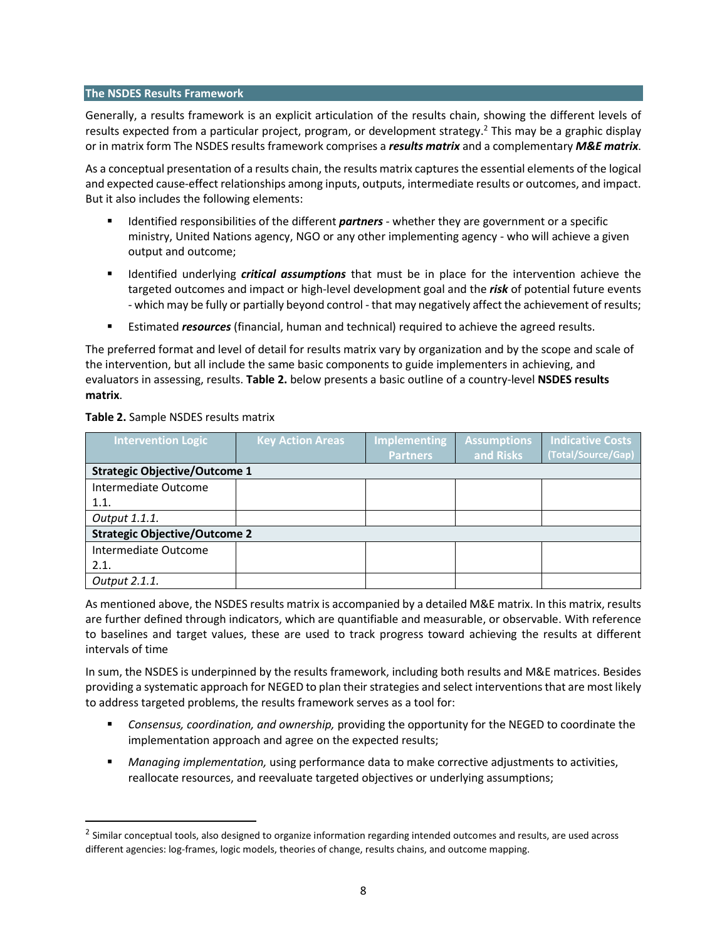## **The NSDES Results Framework**

Generally, a results framework is an explicit articulation of the results chain, showing the different levels of results expected from a particular project, program, or development strategy.<sup>2</sup> This may be a graphic display or in matrix form The NSDES results framework comprises a *results matrix* and a complementary *M&E matrix*.

As a conceptual presentation of a results chain, the results matrix captures the essential elements of the logical and expected cause-effect relationships among inputs, outputs, intermediate results or outcomes, and impact. But it also includes the following elements:

- Identified responsibilities of the different *partners* whether they are government or a specific ministry, United Nations agency, NGO or any other implementing agency - who will achieve a given output and outcome;
- **If I**dentified underlying *critical assumptions* that must be in place for the intervention achieve the targeted outcomes and impact or high-level development goal and the *risk* of potential future events - which may be fully or partially beyond control - that may negatively affect the achievement of results;
- Estimated *resources* (financial, human and technical) required to achieve the agreed results.

The preferred format and level of detail for results matrix vary by organization and by the scope and scale of the intervention, but all include the same basic components to guide implementers in achieving, and evaluators in assessing, results. **Table 2.** below presents a basic outline of a country-level **NSDES results matrix**.

## **Table 2.** Sample NSDES results matrix

 $\overline{a}$ 

| <b>Intervention Logic</b>            | <b>Key Action Areas</b> | <b>Implementing</b> | <b>Assumptions</b> | <b>Indicative Costs</b> |
|--------------------------------------|-------------------------|---------------------|--------------------|-------------------------|
|                                      |                         | <b>Partners</b>     | and Risks          | (Total/Source/Gap)      |
| <b>Strategic Objective/Outcome 1</b> |                         |                     |                    |                         |
| Intermediate Outcome                 |                         |                     |                    |                         |
| 1.1.                                 |                         |                     |                    |                         |
| Output 1.1.1.                        |                         |                     |                    |                         |
| <b>Strategic Objective/Outcome 2</b> |                         |                     |                    |                         |
| Intermediate Outcome                 |                         |                     |                    |                         |
| 2.1.                                 |                         |                     |                    |                         |
| Output 2.1.1.                        |                         |                     |                    |                         |

As mentioned above, the NSDES results matrix is accompanied by a detailed M&E matrix. In this matrix, results are further defined through indicators, which are quantifiable and measurable, or observable. With reference to baselines and target values, these are used to track progress toward achieving the results at different intervals of time

In sum, the NSDES is underpinned by the results framework, including both results and M&E matrices. Besides providing a systematic approach for NEGED to plan their strategies and select interventions that are most likely to address targeted problems, the results framework serves as a tool for:

- *Consensus, coordination, and ownership,* providing the opportunity for the NEGED to coordinate the implementation approach and agree on the expected results;
- *Managing implementation,* using performance data to make corrective adjustments to activities, reallocate resources, and reevaluate targeted objectives or underlying assumptions;

<sup>&</sup>lt;sup>2</sup> Similar conceptual tools, also designed to organize information regarding intended outcomes and results, are used across different agencies: log-frames, logic models, theories of change, results chains, and outcome mapping.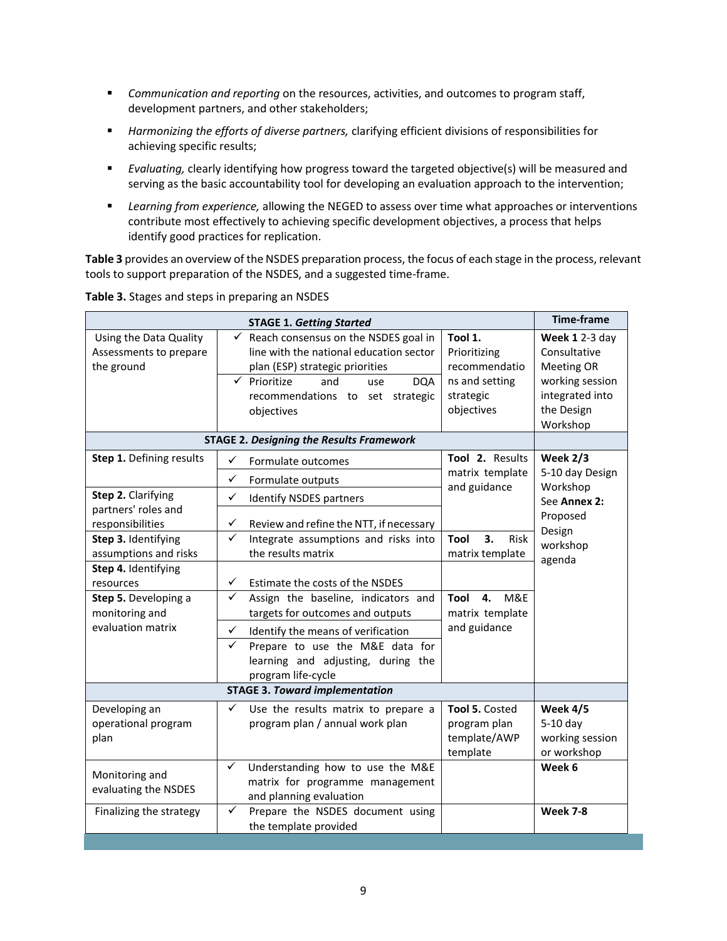- *Communication and reporting* on the resources, activities, and outcomes to program staff, development partners, and other stakeholders;
- *Harmonizing the efforts of diverse partners,* clarifying efficient divisions of responsibilities for achieving specific results;
- *Evaluating,* clearly identifying how progress toward the targeted objective(s) will be measured and serving as the basic accountability tool for developing an evaluation approach to the intervention;
- *Learning from experience,* allowing the NEGED to assess over time what approaches or interventions contribute most effectively to achieving specific development objectives, a process that helps identify good practices for replication.

**Table 3** provides an overview of the NSDES preparation process, the focus of each stage in the process, relevant tools to support preparation of the NSDES, and a suggested time-frame.

|                                                                                                                                                                  | <b>STAGE 1. Getting Started</b>                                                                                                                                                                                                                                                |                                                                                             | <b>Time-frame</b>                                                                                            |
|------------------------------------------------------------------------------------------------------------------------------------------------------------------|--------------------------------------------------------------------------------------------------------------------------------------------------------------------------------------------------------------------------------------------------------------------------------|---------------------------------------------------------------------------------------------|--------------------------------------------------------------------------------------------------------------|
| Using the Data Quality<br>Assessments to prepare<br>the ground                                                                                                   | $\checkmark$<br>Reach consensus on the NSDES goal in<br>line with the national education sector<br>plan (ESP) strategic priorities<br>$\checkmark$<br>Prioritize<br>and<br><b>DQA</b><br>use<br>recommendations to set strategic<br>objectives                                 | Tool 1.<br>Prioritizing<br>recommendatio<br>ns and setting<br>strategic<br>objectives       | Week 1 2-3 day<br>Consultative<br>Meeting OR<br>working session<br>integrated into<br>the Design<br>Workshop |
|                                                                                                                                                                  | <b>STAGE 2. Designing the Results Framework</b>                                                                                                                                                                                                                                |                                                                                             |                                                                                                              |
| Step 1. Defining results<br>Step 2. Clarifying<br>partners' roles and<br>responsibilities<br>Step 3. Identifying<br>assumptions and risks<br>Step 4. Identifying | ✓<br>Formulate outcomes<br>$\checkmark$<br>Formulate outputs<br>✓<br>Identify NSDES partners<br>✓<br>Review and refine the NTT, if necessary<br>$\checkmark$<br>Integrate assumptions and risks into<br>the results matrix                                                     | Tool 2. Results<br>matrix template<br>and guidance<br>3.<br>Tool<br>Risk<br>matrix template | <b>Week 2/3</b><br>5-10 day Design<br>Workshop<br>See Annex 2:<br>Proposed<br>Design<br>workshop<br>agenda   |
| resources<br>Step 5. Developing a<br>monitoring and<br>evaluation matrix                                                                                         | $\checkmark$<br>Estimate the costs of the NSDES<br>Assign the baseline, indicators and<br>✓<br>targets for outcomes and outputs<br>✓<br>Identify the means of verification<br>✓<br>Prepare to use the M&E data for<br>learning and adjusting, during the<br>program life-cycle | M&E<br>Tool<br>4.<br>matrix template<br>and guidance                                        |                                                                                                              |
|                                                                                                                                                                  | <b>STAGE 3. Toward implementation</b>                                                                                                                                                                                                                                          |                                                                                             |                                                                                                              |
| Developing an<br>operational program<br>plan                                                                                                                     | ✓<br>Use the results matrix to prepare a<br>program plan / annual work plan                                                                                                                                                                                                    | Tool 5. Costed<br>program plan<br>template/AWP<br>template                                  | Week 4/5<br>5-10 day<br>working session<br>or workshop                                                       |
| Monitoring and<br>evaluating the NSDES                                                                                                                           | Understanding how to use the M&E<br>✓<br>matrix for programme management<br>and planning evaluation<br>$\checkmark$                                                                                                                                                            |                                                                                             | Week 6                                                                                                       |
| Finalizing the strategy                                                                                                                                          | Prepare the NSDES document using<br>the template provided                                                                                                                                                                                                                      |                                                                                             | <b>Week 7-8</b>                                                                                              |

**Table 3.** Stages and steps in preparing an NSDES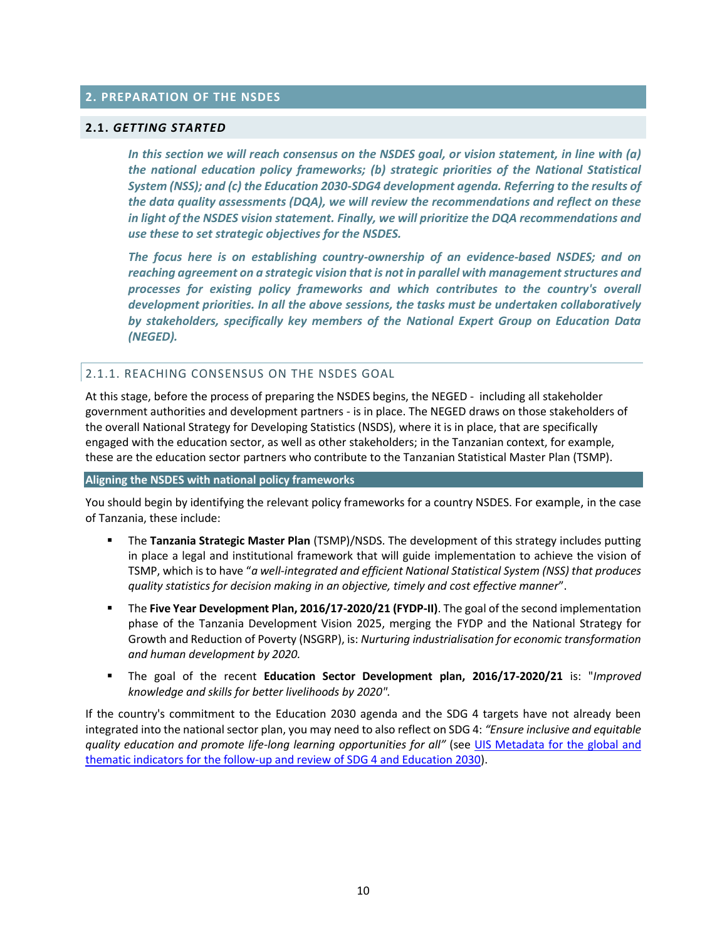## **2. PREPARATION OF THE NSDES**

#### **2.1.** *GETTING STARTED*

*In this section we will reach consensus on the NSDES goal, or vision statement, in line with (a) the national education policy frameworks; (b) strategic priorities of the National Statistical System (NSS); and (c) the Education 2030-SDG4 development agenda. Referring to the results of the data quality assessments (DQA), we will review the recommendations and reflect on these in light of the NSDES vision statement. Finally, we will prioritize the DQA recommendations and use these to set strategic objectives for the NSDES.* 

*The focus here is on establishing country-ownership of an evidence-based NSDES; and on reaching agreement on a strategic vision that is not in parallel with management structures and processes for existing policy frameworks and which contributes to the country's overall development priorities. In all the above sessions, the tasks must be undertaken collaboratively by stakeholders, specifically key members of the National Expert Group on Education Data (NEGED).* 

#### 2.1.1. REACHING CONSENSUS ON THE NSDES GOAL

At this stage, before the process of preparing the NSDES begins, the NEGED - including all stakeholder government authorities and development partners - is in place. The NEGED draws on those stakeholders of the overall National Strategy for Developing Statistics (NSDS), where it is in place, that are specifically engaged with the education sector, as well as other stakeholders; in the Tanzanian context, for example, these are the education sector partners who contribute to the Tanzanian Statistical Master Plan (TSMP).

#### **Aligning the NSDES with national policy frameworks**

You should begin by identifying the relevant policy frameworks for a country NSDES. For example, in the case of Tanzania, these include:

- The **Tanzania Strategic Master Plan** (TSMP)/NSDS. The development of this strategy includes putting in place a legal and institutional framework that will guide implementation to achieve the vision of TSMP, which is to have "*a well-integrated and efficient National Statistical System (NSS) that produces quality statistics for decision making in an objective, timely and cost effective manner*".
- The **Five Year Development Plan, 2016/17-2020/21 (FYDP-II)**. The goal of the second implementation phase of the Tanzania Development Vision 2025, merging the FYDP and the National Strategy for Growth and Reduction of Poverty (NSGRP), is: *Nurturing industrialisation for economic transformation and human development by 2020.*
- The goal of the recent **Education Sector Development plan, 2016/17-2020/21** is: "*Improved knowledge and skills for better livelihoods by 2020".*

If the country's commitment to the Education 2030 agenda and the SDG 4 targets have not already been integrated into the national sector plan, you may need to also reflect on SDG 4: *"Ensure inclusive and equitable quality education and promote life-long learning opportunities for all"* (see [UIS Metadata for the global and](http://uis.unesco.org/sites/default/files/documents/sdg4-metadata-global-thematic-indicators.pdf)  [thematic indicators for the follow-up and review of SDG 4 and Education 2030\)](http://uis.unesco.org/sites/default/files/documents/sdg4-metadata-global-thematic-indicators.pdf).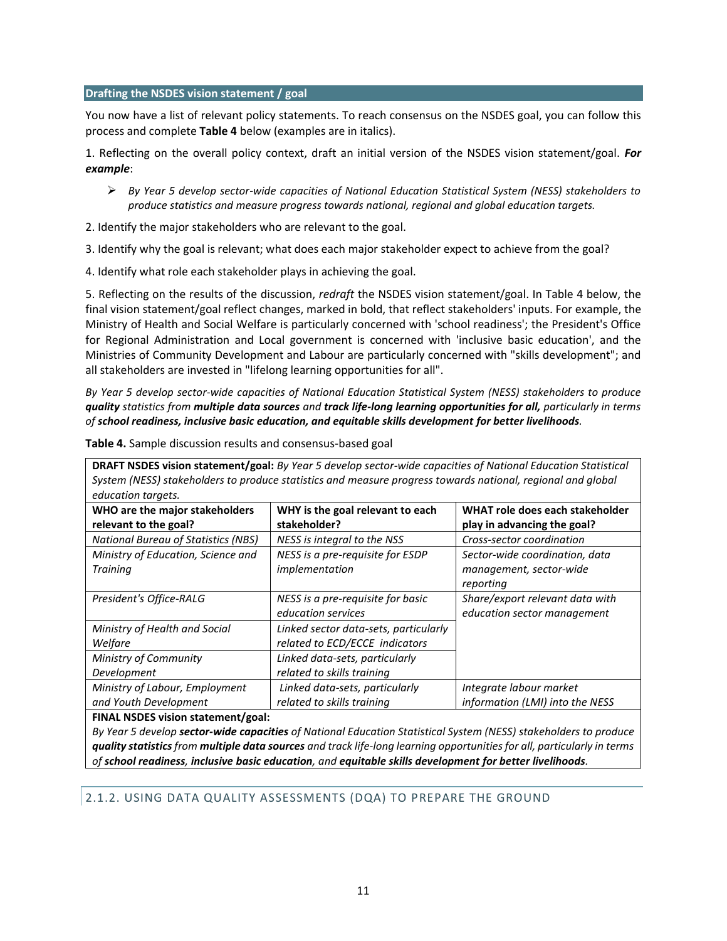#### **Drafting the NSDES vision statement / goal**

You now have a list of relevant policy statements. To reach consensus on the NSDES goal, you can follow this process and complete **Table 4** below (examples are in italics).

1. Reflecting on the overall policy context, draft an initial version of the NSDES vision statement/goal. *For example*:

- *By Year 5 develop sector-wide capacities of National Education Statistical System (NESS) stakeholders to produce statistics and measure progress towards national, regional and global education targets.*
- 2. Identify the major stakeholders who are relevant to the goal.
- 3. Identify why the goal is relevant; what does each major stakeholder expect to achieve from the goal?
- 4. Identify what role each stakeholder plays in achieving the goal.

5. Reflecting on the results of the discussion, *redraft* the NSDES vision statement/goal. In Table 4 below, the final vision statement/goal reflect changes, marked in bold, that reflect stakeholders' inputs. For example, the Ministry of Health and Social Welfare is particularly concerned with 'school readiness'; the President's Office for Regional Administration and Local government is concerned with 'inclusive basic education', and the Ministries of Community Development and Labour are particularly concerned with "skills development"; and all stakeholders are invested in "lifelong learning opportunities for all".

*By Year 5 develop sector-wide capacities of National Education Statistical System (NESS) stakeholders to produce quality statistics from multiple data sources and track life-long learning opportunities for all, particularly in terms of school readiness, inclusive basic education, and equitable skills development for better livelihoods.*

| <b>DRAFT NSDES vision statement/goal:</b> By Year 5 develop sector-wide capacities of National Education Statistical<br>System (NESS) stakeholders to produce statistics and measure progress towards national, regional and global |                                                         |                                                                        |  |  |  |  |
|-------------------------------------------------------------------------------------------------------------------------------------------------------------------------------------------------------------------------------------|---------------------------------------------------------|------------------------------------------------------------------------|--|--|--|--|
| education targets.<br>WHO are the major stakeholders                                                                                                                                                                                | WHY is the goal relevant to each                        | WHAT role does each stakeholder                                        |  |  |  |  |
| relevant to the goal?                                                                                                                                                                                                               | stakeholder?                                            | play in advancing the goal?                                            |  |  |  |  |
| <b>National Bureau of Statistics (NBS)</b>                                                                                                                                                                                          | NESS is integral to the NSS                             | Cross-sector coordination                                              |  |  |  |  |
| Ministry of Education, Science and<br>Training                                                                                                                                                                                      | NESS is a pre-requisite for ESDP<br>implementation      | Sector-wide coordination, data<br>management, sector-wide<br>reporting |  |  |  |  |
| President's Office-RALG                                                                                                                                                                                                             | NESS is a pre-requisite for basic<br>education services | Share/export relevant data with<br>education sector management         |  |  |  |  |
| Ministry of Health and Social                                                                                                                                                                                                       | Linked sector data-sets, particularly                   |                                                                        |  |  |  |  |
| Welfare                                                                                                                                                                                                                             | related to ECD/ECCE indicators                          |                                                                        |  |  |  |  |
| Ministry of Community                                                                                                                                                                                                               | Linked data-sets, particularly                          |                                                                        |  |  |  |  |
| Development                                                                                                                                                                                                                         | related to skills training                              |                                                                        |  |  |  |  |
| Ministry of Labour, Employment                                                                                                                                                                                                      | Linked data-sets, particularly                          | Integrate labour market                                                |  |  |  |  |
| and Youth Development                                                                                                                                                                                                               | related to skills training                              | information (LMI) into the NESS                                        |  |  |  |  |
| EINAL NEDES vicion statement (goal)                                                                                                                                                                                                 |                                                         |                                                                        |  |  |  |  |

**Table 4.** Sample discussion results and consensus-based goal

#### **FINAL NSDES vision statement/goal:**

*By Year 5 develop sector-wide capacities of National Education Statistical System (NESS) stakeholders to produce quality statistics from multiple data sources and track life-long learning opportunities for all, particularly in terms of school readiness, inclusive basic education, and equitable skills development for better livelihoods.*

## 2.1.2. USING DATA QUALITY ASSESSMENTS (DQA) TO PREPARE THE GROUND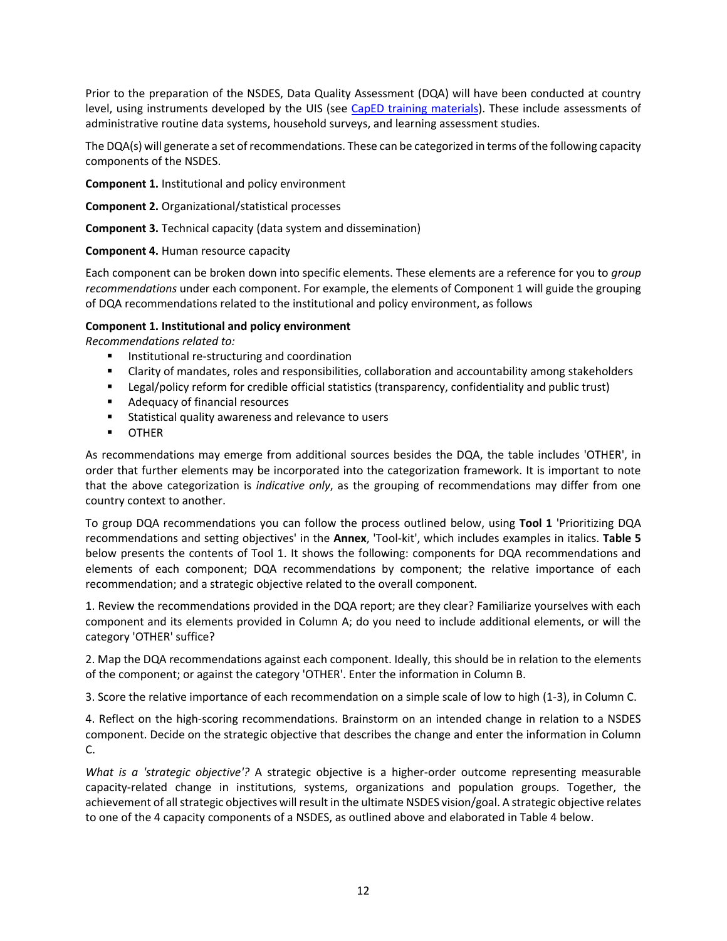Prior to the preparation of the NSDES, Data Quality Assessment (DQA) will have been conducted at country level, using instruments developed by the UIS (see [CapED training materials\)](http://uis.unesco.org/en/capacity-development-tools). These include assessments of administrative routine data systems, household surveys, and learning assessment studies.

The DQA(s) will generate a set of recommendations. These can be categorized in terms of the following capacity components of the NSDES.

**Component 1.** Institutional and policy environment

**Component 2.** Organizational/statistical processes

**Component 3.** Technical capacity (data system and dissemination)

## **Component 4.** Human resource capacity

Each component can be broken down into specific elements. These elements are a reference for you to *group recommendations* under each component. For example, the elements of Component 1 will guide the grouping of DQA recommendations related to the institutional and policy environment, as follows

## **Component 1. Institutional and policy environment**

*Recommendations related to:*

- **IF** Institutional re-structuring and coordination
- Clarity of mandates, roles and responsibilities, collaboration and accountability among stakeholders
- **EXECT LEGAL/policy reform for credible official statistics (transparency, confidentiality and public trust)**
- **Adequacy of financial resources**
- **Statistical quality awareness and relevance to users**
- **OTHER**

As recommendations may emerge from additional sources besides the DQA, the table includes 'OTHER', in order that further elements may be incorporated into the categorization framework. It is important to note that the above categorization is *indicative only*, as the grouping of recommendations may differ from one country context to another.

To group DQA recommendations you can follow the process outlined below, using **Tool 1** 'Prioritizing DQA recommendations and setting objectives' in the **Annex**, 'Tool-kit', which includes examples in italics. **Table 5** below presents the contents of Tool 1. It shows the following: components for DQA recommendations and elements of each component; DQA recommendations by component; the relative importance of each recommendation; and a strategic objective related to the overall component.

1. Review the recommendations provided in the DQA report; are they clear? Familiarize yourselves with each component and its elements provided in Column A; do you need to include additional elements, or will the category 'OTHER' suffice?

2. Map the DQA recommendations against each component. Ideally, this should be in relation to the elements of the component; or against the category 'OTHER'. Enter the information in Column B.

3. Score the relative importance of each recommendation on a simple scale of low to high (1-3), in Column C.

4. Reflect on the high-scoring recommendations. Brainstorm on an intended change in relation to a NSDES component. Decide on the strategic objective that describes the change and enter the information in Column C.

*What is a 'strategic objective'?* A strategic objective is a higher-order outcome representing measurable capacity-related change in institutions, systems, organizations and population groups. Together, the achievement of all strategic objectives will result in the ultimate NSDES vision/goal. A strategic objective relates to one of the 4 capacity components of a NSDES, as outlined above and elaborated in Table 4 below.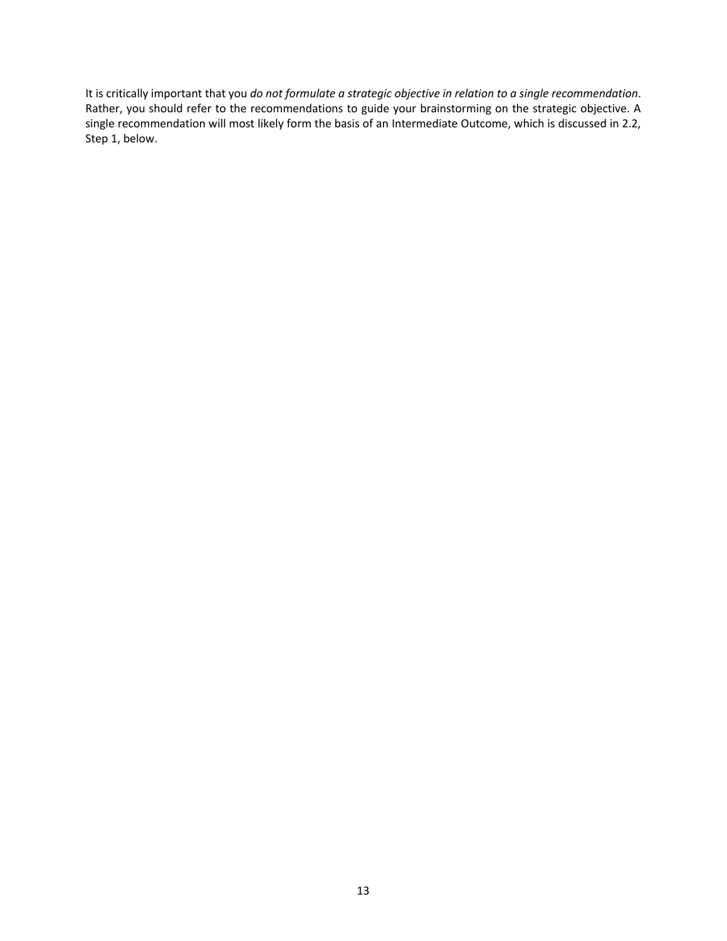It is critically important that you *do not formulate a strategic objective in relation to a single recommendation*. Rather, you should refer to the recommendations to guide your brainstorming on the strategic objective. A single recommendation will most likely form the basis of an Intermediate Outcome, which is discussed in 2.2, Step 1, below.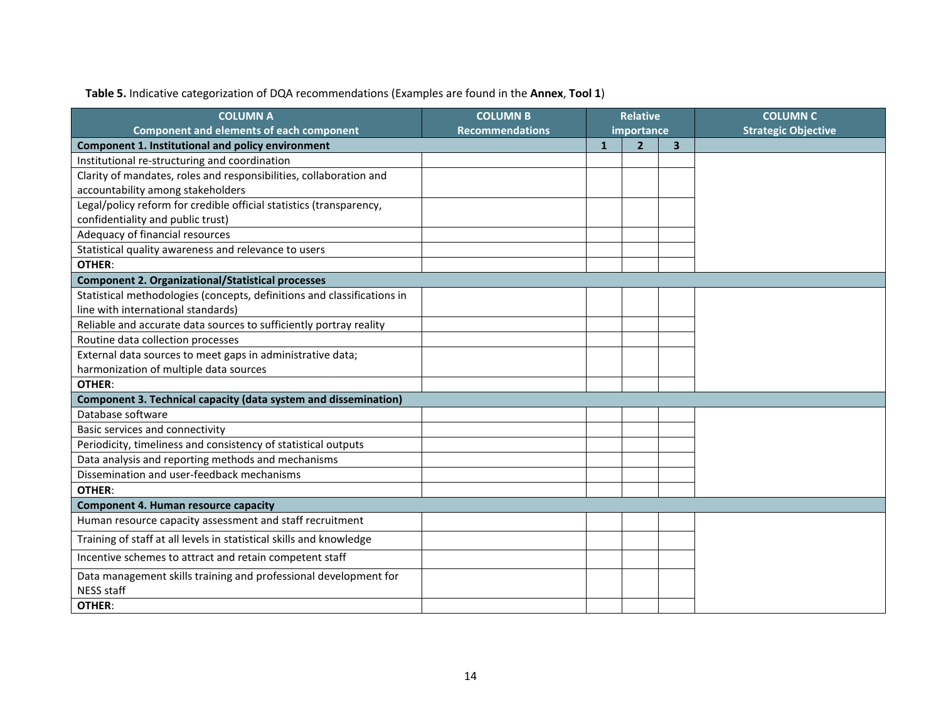# **Table 5.** Indicative categorization of DQA recommendations (Examples are found in the **Annex**, **Tool 1**)

| <b>COLUMN A</b>                                                         | <b>COLUMN B</b>        | <b>Relative</b> |                |   | <b>COLUMN C</b>            |
|-------------------------------------------------------------------------|------------------------|-----------------|----------------|---|----------------------------|
| <b>Component and elements of each component</b>                         | <b>Recommendations</b> | importance      |                |   | <b>Strategic Objective</b> |
| <b>Component 1. Institutional and policy environment</b>                |                        | $\mathbf{1}$    | $\overline{2}$ | 3 |                            |
| Institutional re-structuring and coordination                           |                        |                 |                |   |                            |
| Clarity of mandates, roles and responsibilities, collaboration and      |                        |                 |                |   |                            |
| accountability among stakeholders                                       |                        |                 |                |   |                            |
| Legal/policy reform for credible official statistics (transparency,     |                        |                 |                |   |                            |
| confidentiality and public trust)                                       |                        |                 |                |   |                            |
| Adequacy of financial resources                                         |                        |                 |                |   |                            |
| Statistical quality awareness and relevance to users                    |                        |                 |                |   |                            |
| OTHER:                                                                  |                        |                 |                |   |                            |
| <b>Component 2. Organizational/Statistical processes</b>                |                        |                 |                |   |                            |
| Statistical methodologies (concepts, definitions and classifications in |                        |                 |                |   |                            |
| line with international standards)                                      |                        |                 |                |   |                            |
| Reliable and accurate data sources to sufficiently portray reality      |                        |                 |                |   |                            |
| Routine data collection processes                                       |                        |                 |                |   |                            |
| External data sources to meet gaps in administrative data;              |                        |                 |                |   |                            |
| harmonization of multiple data sources                                  |                        |                 |                |   |                            |
| OTHER:                                                                  |                        |                 |                |   |                            |
| <b>Component 3. Technical capacity (data system and dissemination)</b>  |                        |                 |                |   |                            |
| Database software                                                       |                        |                 |                |   |                            |
| Basic services and connectivity                                         |                        |                 |                |   |                            |
| Periodicity, timeliness and consistency of statistical outputs          |                        |                 |                |   |                            |
| Data analysis and reporting methods and mechanisms                      |                        |                 |                |   |                            |
| Dissemination and user-feedback mechanisms                              |                        |                 |                |   |                            |
| <b>OTHER:</b>                                                           |                        |                 |                |   |                            |
| <b>Component 4. Human resource capacity</b>                             |                        |                 |                |   |                            |
| Human resource capacity assessment and staff recruitment                |                        |                 |                |   |                            |
| Training of staff at all levels in statistical skills and knowledge     |                        |                 |                |   |                            |
| Incentive schemes to attract and retain competent staff                 |                        |                 |                |   |                            |
| Data management skills training and professional development for        |                        |                 |                |   |                            |
| <b>NESS staff</b>                                                       |                        |                 |                |   |                            |
| OTHER:                                                                  |                        |                 |                |   |                            |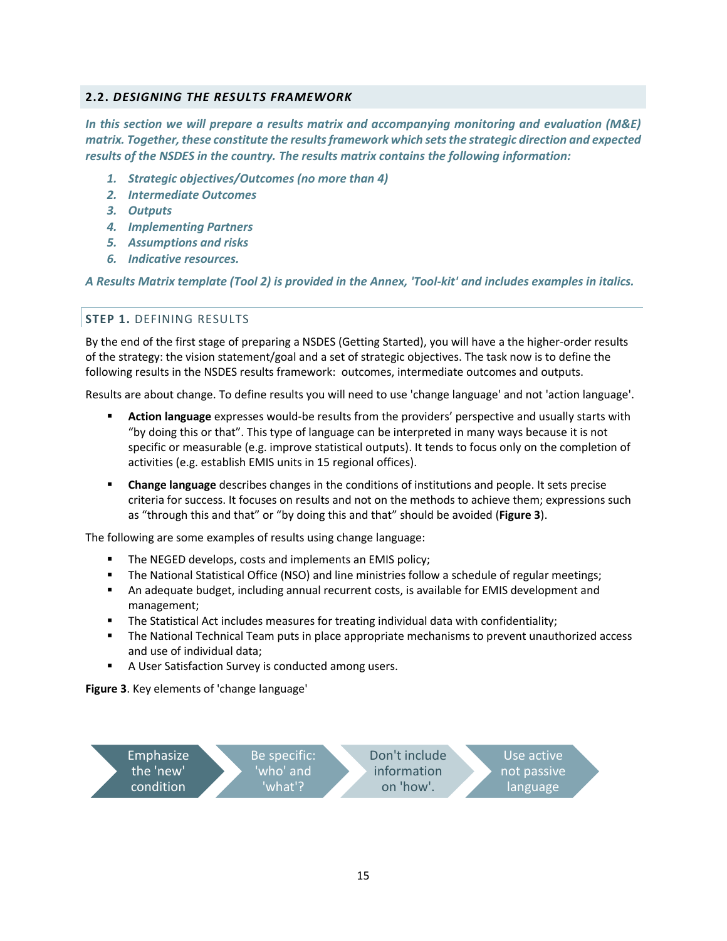## **2.2.** *DESIGNING THE RESULTS FRAMEWORK*

*In this section we will prepare a results matrix and accompanying monitoring and evaluation (M&E) matrix. Together, these constitute the results framework which sets the strategic direction and expected results of the NSDES in the country. The results matrix contains the following information:*

- *1. Strategic objectives/Outcomes (no more than 4)*
- *2. Intermediate Outcomes*
- *3. Outputs*
- *4. Implementing Partners*
- *5. Assumptions and risks*
- *6. Indicative resources.*

*A Results Matrix template (Tool 2) is provided in the Annex, 'Tool-kit' and includes examples in italics.*

## **STEP 1.** DEFINING RESULTS

By the end of the first stage of preparing a NSDES (Getting Started), you will have a the higher-order results of the strategy: the vision statement/goal and a set of strategic objectives. The task now is to define the following results in the NSDES results framework: outcomes, intermediate outcomes and outputs.

Results are about change. To define results you will need to use 'change language' and not 'action language'.

- **Action language** expresses would-be results from the providers' perspective and usually starts with "by doing this or that". This type of language can be interpreted in many ways because it is not specific or measurable (e.g. improve statistical outputs). It tends to focus only on the completion of activities (e.g. establish EMIS units in 15 regional offices).
- **Change language** describes changes in the conditions of institutions and people. It sets precise criteria for success. It focuses on results and not on the methods to achieve them; expressions such as "through this and that" or "by doing this and that" should be avoided (**Figure 3**).

The following are some examples of results using change language:

- **The NEGED develops, costs and implements an EMIS policy;**
- The National Statistical Office (NSO) and line ministries follow a schedule of regular meetings;
- An adequate budget, including annual recurrent costs, is available for EMIS development and management;
- The Statistical Act includes measures for treating individual data with confidentiality;
- The National Technical Team puts in place appropriate mechanisms to prevent unauthorized access and use of individual data;
- A User Satisfaction Survey is conducted among users.

**Figure 3**. Key elements of 'change language'

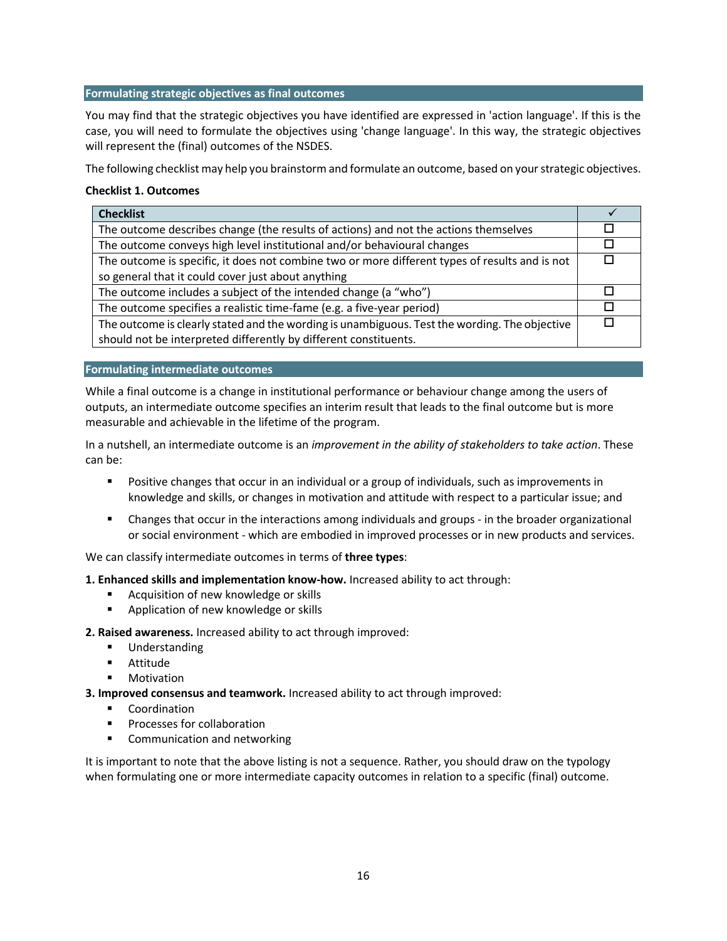## **Formulating strategic objectives as final outcomes**

You may find that the strategic objectives you have identified are expressed in 'action language'. If this is the case, you will need to formulate the objectives using 'change language'. In this way, the strategic objectives will represent the (final) outcomes of the NSDES.

The following checklist may help you brainstorm and formulate an outcome, based on your strategic objectives.

## **Checklist 1. Outcomes**

| <b>Checklist</b>                                                                               |              |
|------------------------------------------------------------------------------------------------|--------------|
| The outcome describes change (the results of actions) and not the actions themselves           |              |
| The outcome conveys high level institutional and/or behavioural changes                        |              |
| The outcome is specific, it does not combine two or more different types of results and is not | $\mathbf{L}$ |
| so general that it could cover just about anything                                             |              |
| The outcome includes a subject of the intended change (a "who")                                |              |
| The outcome specifies a realistic time-fame (e.g. a five-year period)                          |              |
| The outcome is clearly stated and the wording is unambiguous. Test the wording. The objective  | П            |
| should not be interpreted differently by different constituents.                               |              |

#### **Formulating intermediate outcomes**

While a final outcome is a change in institutional performance or behaviour change among the users of outputs, an intermediate outcome specifies an interim result that leads to the final outcome but is more measurable and achievable in the lifetime of the program.

In a nutshell, an intermediate outcome is an *improvement in the ability of stakeholders to take action*. These can be:

- **Positive changes that occur in an individual or a group of individuals, such as improvements in** knowledge and skills, or changes in motivation and attitude with respect to a particular issue; and
- Changes that occur in the interactions among individuals and groups in the broader organizational or social environment - which are embodied in improved processes or in new products and services.

We can classify intermediate outcomes in terms of **three types**:

**1. Enhanced skills and implementation know-how.** Increased ability to act through:

- Acquisition of new knowledge or skills
- **Application of new knowledge or skills**

**2. Raised awareness.** Increased ability to act through improved:

- **Understanding**
- **Attitude**
- Motivation

**3. Improved consensus and teamwork.** Increased ability to act through improved:

- **Coordination**
- **Processes for collaboration**
- **EXECOMMUNICATION AND META** Communication and networking

It is important to note that the above listing is not a sequence. Rather, you should draw on the typology when formulating one or more intermediate capacity outcomes in relation to a specific (final) outcome.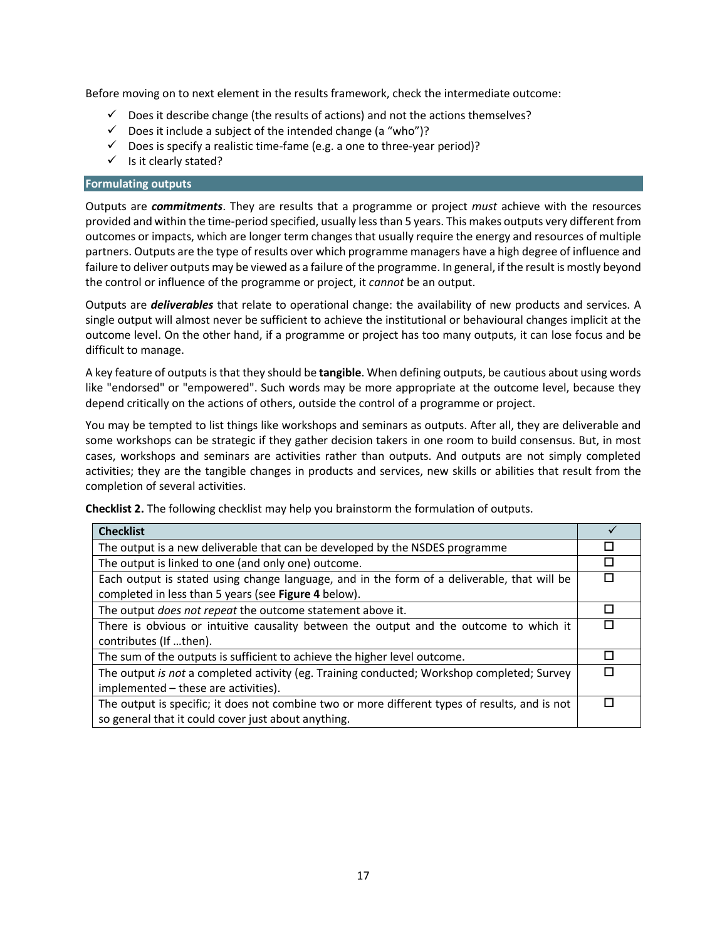Before moving on to next element in the results framework, check the intermediate outcome:

- $\checkmark$  Does it describe change (the results of actions) and not the actions themselves?
- $\checkmark$  Does it include a subject of the intended change (a "who")?
- $\checkmark$  Does is specify a realistic time-fame (e.g. a one to three-year period)?
- $\checkmark$  Is it clearly stated?

## **Formulating outputs**

Outputs are *commitments*. They are results that a programme or project *must* achieve with the resources provided and within the time-period specified, usually less than 5 years. This makes outputs very different from outcomes or impacts, which are longer term changes that usually require the energy and resources of multiple partners. Outputs are the type of results over which programme managers have a high degree of influence and failure to deliver outputs may be viewed as a failure of the programme. In general, if the result is mostly beyond the control or influence of the programme or project, it *cannot* be an output.

Outputs are *deliverables* that relate to operational change: the availability of new products and services. A single output will almost never be sufficient to achieve the institutional or behavioural changes implicit at the outcome level. On the other hand, if a programme or project has too many outputs, it can lose focus and be difficult to manage.

A key feature of outputs is that they should be **tangible**. When defining outputs, be cautious about using words like "endorsed" or "empowered". Such words may be more appropriate at the outcome level, because they depend critically on the actions of others, outside the control of a programme or project.

You may be tempted to list things like workshops and seminars as outputs. After all, they are deliverable and some workshops can be strategic if they gather decision takers in one room to build consensus. But, in most cases, workshops and seminars are activities rather than outputs. And outputs are not simply completed activities; they are the tangible changes in products and services, new skills or abilities that result from the completion of several activities.

**Checklist 2.** The following checklist may help you brainstorm the formulation of outputs. **Checklist**

| <b>Checklist</b>                                                                               |   |
|------------------------------------------------------------------------------------------------|---|
| The output is a new deliverable that can be developed by the NSDES programme                   | П |
| The output is linked to one (and only one) outcome.                                            | П |
| Each output is stated using change language, and in the form of a deliverable, that will be    | П |
| completed in less than 5 years (see Figure 4 below).                                           |   |
| The output <i>does not repeat</i> the outcome statement above it.                              | ш |
| There is obvious or intuitive causality between the output and the outcome to which it         | П |
| contributes (If then).                                                                         |   |
| The sum of the outputs is sufficient to achieve the higher level outcome.                      | ш |
| The output is not a completed activity (eg. Training conducted; Workshop completed; Survey     | П |
| implemented – these are activities).                                                           |   |
| The output is specific; it does not combine two or more different types of results, and is not | П |
| so general that it could cover just about anything.                                            |   |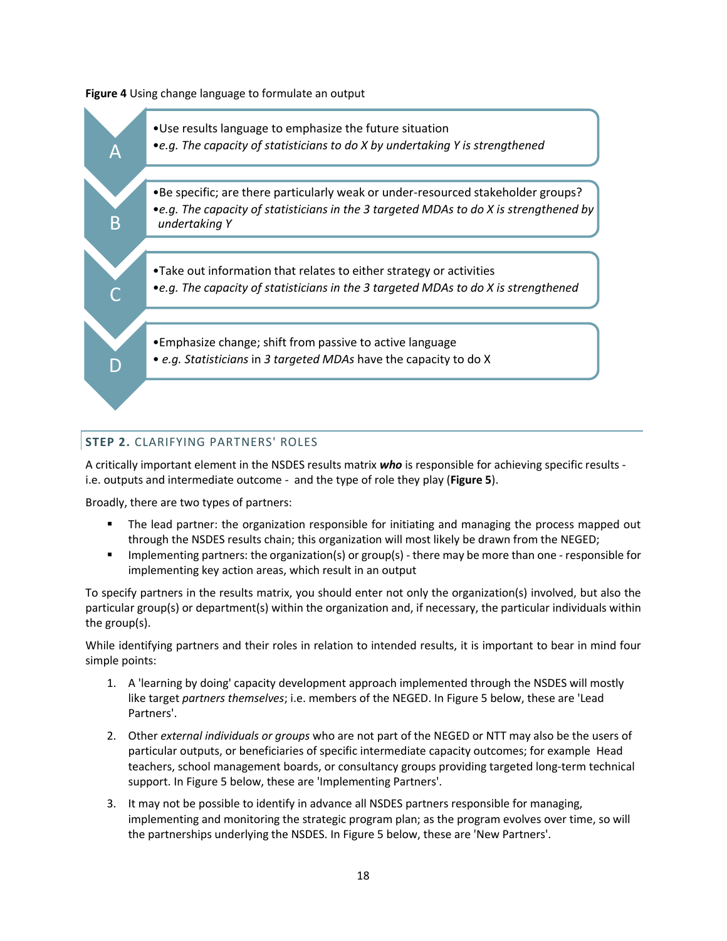**Figure 4** Using change language to formulate an output



# **STEP 2.** CLARIFYING PARTNERS' ROLES

A critically important element in the NSDES results matrix *who* is responsible for achieving specific results i.e. outputs and intermediate outcome - and the type of role they play (**Figure 5**).

Broadly, there are two types of partners:

- The lead partner: the organization responsible for initiating and managing the process mapped out through the NSDES results chain; this organization will most likely be drawn from the NEGED;
- **IMPLEM** 1 mplementing partners: the organization(s) or group(s) there may be more than one responsible for implementing key action areas, which result in an output

To specify partners in the results matrix, you should enter not only the organization(s) involved, but also the particular group(s) or department(s) within the organization and, if necessary, the particular individuals within the group(s).

While identifying partners and their roles in relation to intended results, it is important to bear in mind four simple points:

- 1. A 'learning by doing' capacity development approach implemented through the NSDES will mostly like target *partners themselves*; i.e. members of the NEGED. In Figure 5 below, these are 'Lead Partners'.
- 2. Other *external individuals or groups* who are not part of the NEGED or NTT may also be the users of particular outputs, or beneficiaries of specific intermediate capacity outcomes; for example Head teachers, school management boards, or consultancy groups providing targeted long-term technical support. In Figure 5 below, these are 'Implementing Partners'.
- 3. It may not be possible to identify in advance all NSDES partners responsible for managing, implementing and monitoring the strategic program plan; as the program evolves over time, so will the partnerships underlying the NSDES. In Figure 5 below, these are 'New Partners'.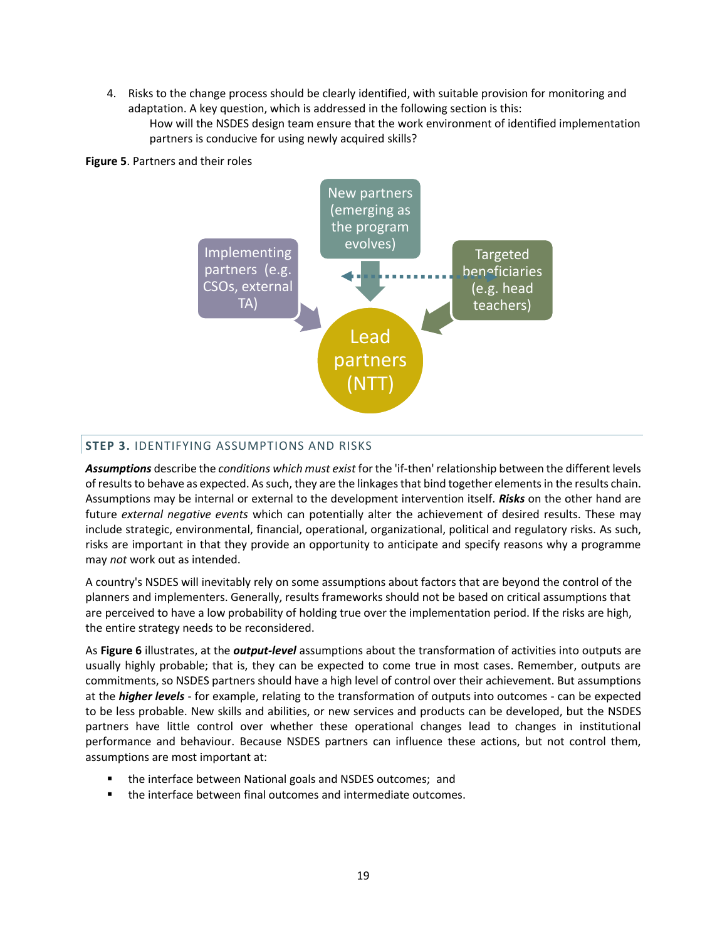4. Risks to the change process should be clearly identified, with suitable provision for monitoring and adaptation. A key question, which is addressed in the following section is this:

How will the NSDES design team ensure that the work environment of identified implementation partners is conducive for using newly acquired skills?



## **Figure 5**. Partners and their roles

## **STEP 3.** IDENTIFYING ASSUMPTIONS AND RISKS

*Assumptions* describe the *conditions which must exist* for the 'if-then' relationship between the different levels of results to behave as expected. As such, they are the linkages that bind together elements in the results chain. Assumptions may be internal or external to the development intervention itself. *Risks* on the other hand are future *external negative events* which can potentially alter the achievement of desired results. These may include strategic, environmental, financial, operational, organizational, political and regulatory risks. As such, risks are important in that they provide an opportunity to anticipate and specify reasons why a programme may *not* work out as intended.

A country's NSDES will inevitably rely on some assumptions about factors that are beyond the control of the planners and implementers. Generally, results frameworks should not be based on critical assumptions that are perceived to have a low probability of holding true over the implementation period. If the risks are high, the entire strategy needs to be reconsidered.

As **Figure 6** illustrates, at the *output-level* assumptions about the transformation of activities into outputs are usually highly probable; that is, they can be expected to come true in most cases. Remember, outputs are commitments, so NSDES partners should have a high level of control over their achievement. But assumptions at the *higher levels* - for example, relating to the transformation of outputs into outcomes - can be expected to be less probable. New skills and abilities, or new services and products can be developed, but the NSDES partners have little control over whether these operational changes lead to changes in institutional performance and behaviour. Because NSDES partners can influence these actions, but not control them, assumptions are most important at:

- the interface between National goals and NSDES outcomes; and
- the interface between final outcomes and intermediate outcomes.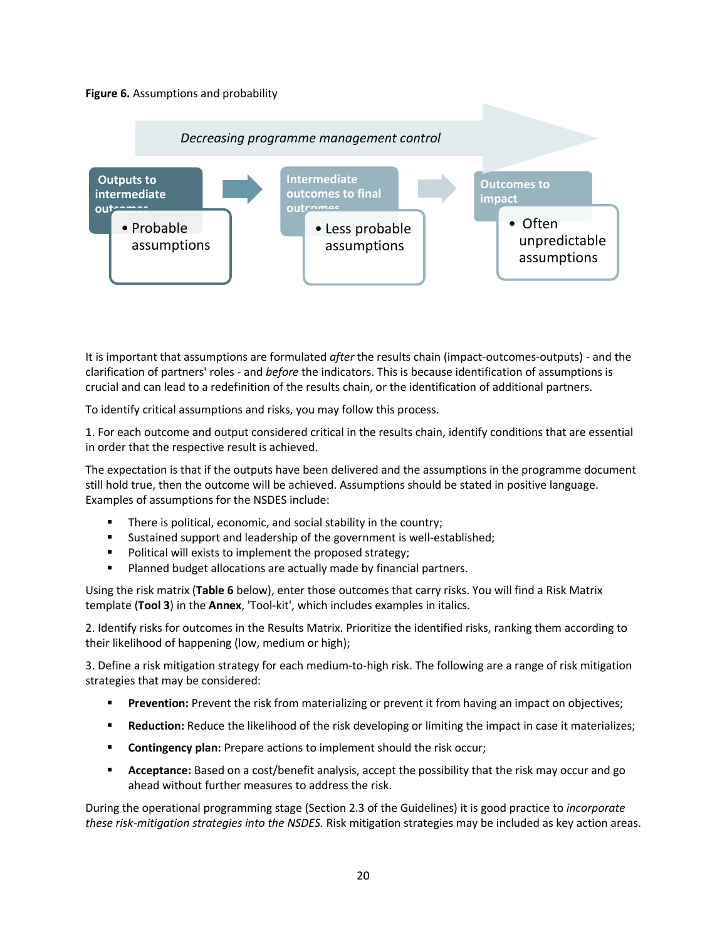## **Figure 6.** Assumptions and probability



It is important that assumptions are formulated *after* the results chain (impact-outcomes-outputs) - and the clarification of partners' roles - and *before* the indicators. This is because identification of assumptions is crucial and can lead to a redefinition of the results chain, or the identification of additional partners.

To identify critical assumptions and risks, you may follow this process.

1. For each outcome and output considered critical in the results chain, identify conditions that are essential in order that the respective result is achieved.

The expectation is that if the outputs have been delivered and the assumptions in the programme document still hold true, then the outcome will be achieved. Assumptions should be stated in positive language. Examples of assumptions for the NSDES include:

- **There is political, economic, and social stability in the country;**
- Sustained support and leadership of the government is well-established;
- Political will exists to implement the proposed strategy;
- **Planned budget allocations are actually made by financial partners.**

Using the risk matrix (**Table 6** below), enter those outcomes that carry risks. You will find a Risk Matrix template (**Tool 3**) in the **Annex**, 'Tool-kit', which includes examples in italics.

2. Identify risks for outcomes in the Results Matrix. Prioritize the identified risks, ranking them according to their likelihood of happening (low, medium or high);

3. Define a risk mitigation strategy for each medium-to-high risk. The following are a range of risk mitigation strategies that may be considered:

- **Prevention:** Prevent the risk from materializing or prevent it from having an impact on objectives;
- **Reduction:** Reduce the likelihood of the risk developing or limiting the impact in case it materializes;
- **Contingency plan:** Prepare actions to implement should the risk occur;
- **Acceptance:** Based on a cost/benefit analysis, accept the possibility that the risk may occur and go ahead without further measures to address the risk.

During the operational programming stage (Section 2.3 of the Guidelines) it is good practice to *incorporate these risk-mitigation strategies into the NSDES.* Risk mitigation strategies may be included as key action areas.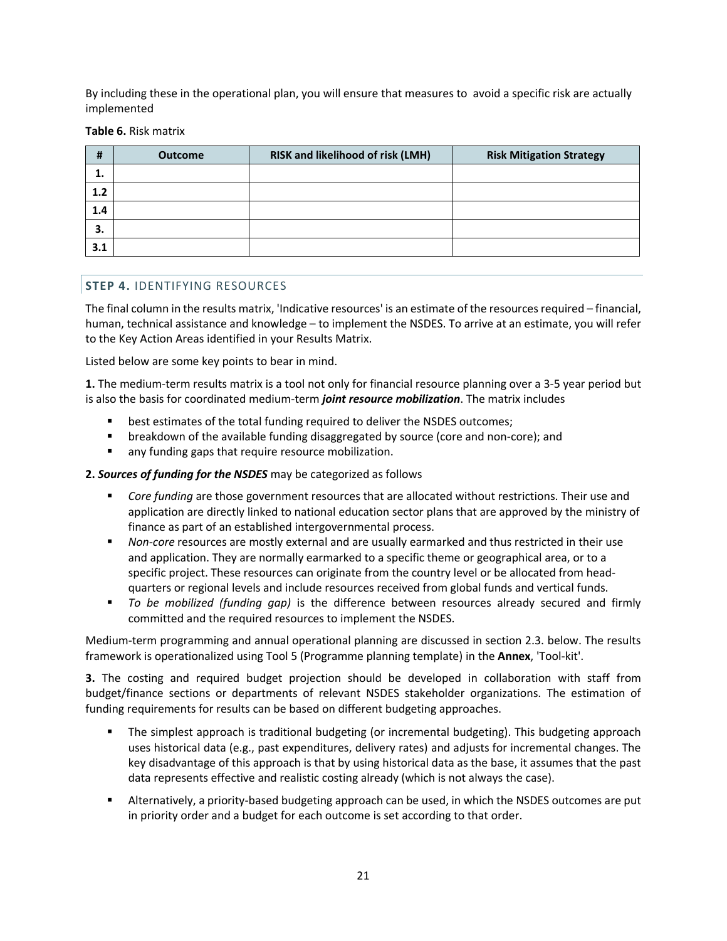By including these in the operational plan, you will ensure that measures to avoid a specific risk are actually implemented

**Table 6.** Risk matrix

| #   | <b>Outcome</b> | RISK and likelihood of risk (LMH) | <b>Risk Mitigation Strategy</b> |
|-----|----------------|-----------------------------------|---------------------------------|
| ⊥.  |                |                                   |                                 |
| 1.2 |                |                                   |                                 |
| 1.4 |                |                                   |                                 |
| 3.  |                |                                   |                                 |
| 3.1 |                |                                   |                                 |

## **STEP 4.** IDENTIFYING RESOURCES

The final column in the results matrix, 'Indicative resources' is an estimate of the resources required – financial, human, technical assistance and knowledge – to implement the NSDES. To arrive at an estimate, you will refer to the Key Action Areas identified in your Results Matrix.

Listed below are some key points to bear in mind.

**1.** The medium-term results matrix is a tool not only for financial resource planning over a 3-5 year period but is also the basis for coordinated medium-term *joint resource mobilization*. The matrix includes

- best estimates of the total funding required to deliver the NSDES outcomes;
- breakdown of the available funding disaggregated by source (core and non-core); and
- any funding gaps that require resource mobilization.

#### **2.** *Sources of funding for the NSDES* may be categorized as follows

- *Core funding* are those government resources that are allocated without restrictions. Their use and application are directly linked to national education sector plans that are approved by the ministry of finance as part of an established intergovernmental process.
- *Non-core* resources are mostly external and are usually earmarked and thus restricted in their use and application. They are normally earmarked to a specific theme or geographical area, or to a specific project. These resources can originate from the country level or be allocated from headquarters or regional levels and include resources received from global funds and vertical funds.
- *To be mobilized (funding gap)* is the difference between resources already secured and firmly committed and the required resources to implement the NSDES.

Medium-term programming and annual operational planning are discussed in section 2.3. below. The results framework is operationalized using Tool 5 (Programme planning template) in the **Annex**, 'Tool-kit'.

**3.** The costing and required budget projection should be developed in collaboration with staff from budget/finance sections or departments of relevant NSDES stakeholder organizations. The estimation of funding requirements for results can be based on different budgeting approaches.

- The simplest approach is traditional budgeting (or incremental budgeting). This budgeting approach uses historical data (e.g., past expenditures, delivery rates) and adjusts for incremental changes. The key disadvantage of this approach is that by using historical data as the base, it assumes that the past data represents effective and realistic costing already (which is not always the case).
- Alternatively, a priority-based budgeting approach can be used, in which the NSDES outcomes are put in priority order and a budget for each outcome is set according to that order.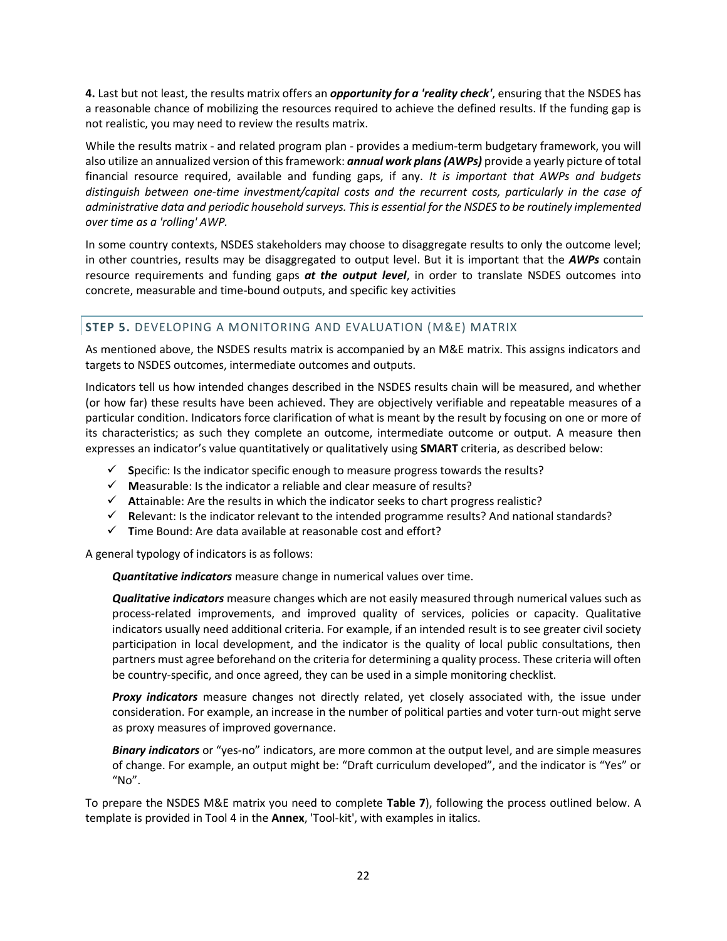**4.** Last but not least, the results matrix offers an *opportunity for a 'reality check'*, ensuring that the NSDES has a reasonable chance of mobilizing the resources required to achieve the defined results. If the funding gap is not realistic, you may need to review the results matrix.

While the results matrix - and related program plan - provides a medium-term budgetary framework, you will also utilize an annualized version of this framework: *annual work plans (AWPs)* provide a yearly picture of total financial resource required, available and funding gaps, if any. *It is important that AWPs and budgets distinguish between one-time investment/capital costs and the recurrent costs, particularly in the case of administrative data and periodic household surveys. This is essential for the NSDES to be routinely implemented over time as a 'rolling' AWP.*

In some country contexts, NSDES stakeholders may choose to disaggregate results to only the outcome level; in other countries, results may be disaggregated to output level. But it is important that the *AWPs* contain resource requirements and funding gaps *at the output level*, in order to translate NSDES outcomes into concrete, measurable and time-bound outputs, and specific key activities

# **STEP 5.** DEVELOPING A MONITORING AND EVALUATION (M&E) MATRIX

As mentioned above, the NSDES results matrix is accompanied by an M&E matrix. This assigns indicators and targets to NSDES outcomes, intermediate outcomes and outputs.

Indicators tell us how intended changes described in the NSDES results chain will be measured, and whether (or how far) these results have been achieved. They are objectively verifiable and repeatable measures of a particular condition. Indicators force clarification of what is meant by the result by focusing on one or more of its characteristics; as such they complete an outcome, intermediate outcome or output. A measure then expresses an indicator's value quantitatively or qualitatively using **SMART** criteria, as described below:

- **S**pecific: Is the indicator specific enough to measure progress towards the results?
- $\checkmark$  Measurable: Is the indicator a reliable and clear measure of results?
- **A**ttainable: Are the results in which the indicator seeks to chart progress realistic?
- $\checkmark$  Relevant: Is the indicator relevant to the intended programme results? And national standards?
- **T**ime Bound: Are data available at reasonable cost and effort?

A general typology of indicators is as follows:

*Quantitative indicators* measure change in numerical values over time.

*Qualitative indicators* measure changes which are not easily measured through numerical values such as process-related improvements, and improved quality of services, policies or capacity. Qualitative indicators usually need additional criteria. For example, if an intended result is to see greater civil society participation in local development, and the indicator is the quality of local public consultations, then partners must agree beforehand on the criteria for determining a quality process. These criteria will often be country-specific, and once agreed, they can be used in a simple monitoring checklist.

*Proxy indicators* measure changes not directly related, yet closely associated with, the issue under consideration. For example, an increase in the number of political parties and voter turn-out might serve as proxy measures of improved governance.

*Binary indicators* or "yes-no" indicators, are more common at the output level, and are simple measures of change. For example, an output might be: "Draft curriculum developed", and the indicator is "Yes" or  $^{\prime\prime}$ No $^{\prime\prime}$ .

To prepare the NSDES M&E matrix you need to complete **Table 7**), following the process outlined below. A template is provided in Tool 4 in the **Annex**, 'Tool-kit', with examples in italics.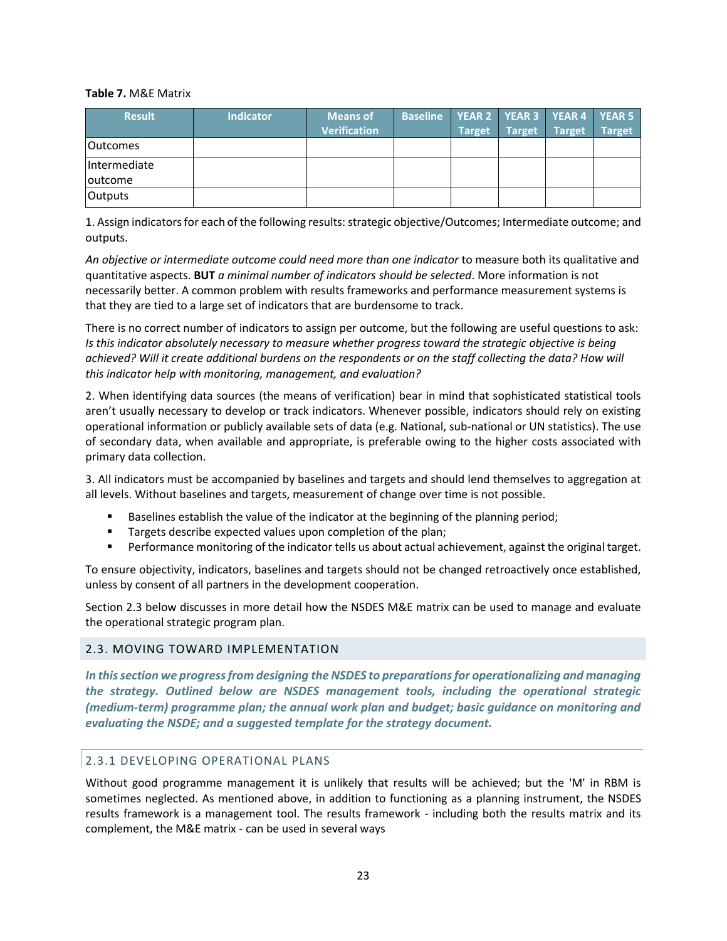#### **Table 7.** M&E Matrix

| <b>Result</b>   | <b>Indicator</b> | <b>Means of</b>     | <b>Baseline</b> |               |               | YEAR 2   YEAR 3   YEAR 4   YEAR 5 |               |
|-----------------|------------------|---------------------|-----------------|---------------|---------------|-----------------------------------|---------------|
|                 |                  | <b>Verification</b> |                 | <b>Target</b> | <b>Target</b> | Target                            | <b>Target</b> |
| lOutcomes       |                  |                     |                 |               |               |                                   |               |
| Intermediate    |                  |                     |                 |               |               |                                   |               |
| <b>loutcome</b> |                  |                     |                 |               |               |                                   |               |
| <b>Outputs</b>  |                  |                     |                 |               |               |                                   |               |

1. Assign indicators for each of the following results:strategic objective/Outcomes; Intermediate outcome; and outputs.

*An objective or intermediate outcome could need more than one indicator* to measure both its qualitative and quantitative aspects. **BUT** *a minimal number of indicators should be selected*. More information is not necessarily better. A common problem with results frameworks and performance measurement systems is that they are tied to a large set of indicators that are burdensome to track.

There is no correct number of indicators to assign per outcome, but the following are useful questions to ask: *Is this indicator absolutely necessary to measure whether progress toward the strategic objective is being achieved? Will it create additional burdens on the respondents or on the staff collecting the data? How will this indicator help with monitoring, management, and evaluation?* 

2. When identifying data sources (the means of verification) bear in mind that sophisticated statistical tools aren't usually necessary to develop or track indicators. Whenever possible, indicators should rely on existing operational information or publicly available sets of data (e.g. National, sub-national or UN statistics). The use of secondary data, when available and appropriate, is preferable owing to the higher costs associated with primary data collection.

3. All indicators must be accompanied by baselines and targets and should lend themselves to aggregation at all levels. Without baselines and targets, measurement of change over time is not possible.

- Baselines establish the value of the indicator at the beginning of the planning period;
- **Targets describe expected values upon completion of the plan;**
- **Performance monitoring of the indicator tells us about actual achievement, against the original target.**

To ensure objectivity, indicators, baselines and targets should not be changed retroactively once established, unless by consent of all partners in the development cooperation.

Section 2.3 below discusses in more detail how the NSDES M&E matrix can be used to manage and evaluate the operational strategic program plan.

## 2.3. MOVING TOWARD IMPLEMENTATION

*In this section we progress from designing the NSDES to preparations for operationalizing and managing the strategy. Outlined below are NSDES management tools, including the operational strategic (medium-term) programme plan; the annual work plan and budget; basic guidance on monitoring and evaluating the NSDE; and a suggested template for the strategy document.* 

## 2.3.1 DEVELOPING OPERATIONAL PLANS

Without good programme management it is unlikely that results will be achieved; but the 'M' in RBM is sometimes neglected. As mentioned above, in addition to functioning as a planning instrument, the NSDES results framework is a management tool. The results framework - including both the results matrix and its complement, the M&E matrix - can be used in several ways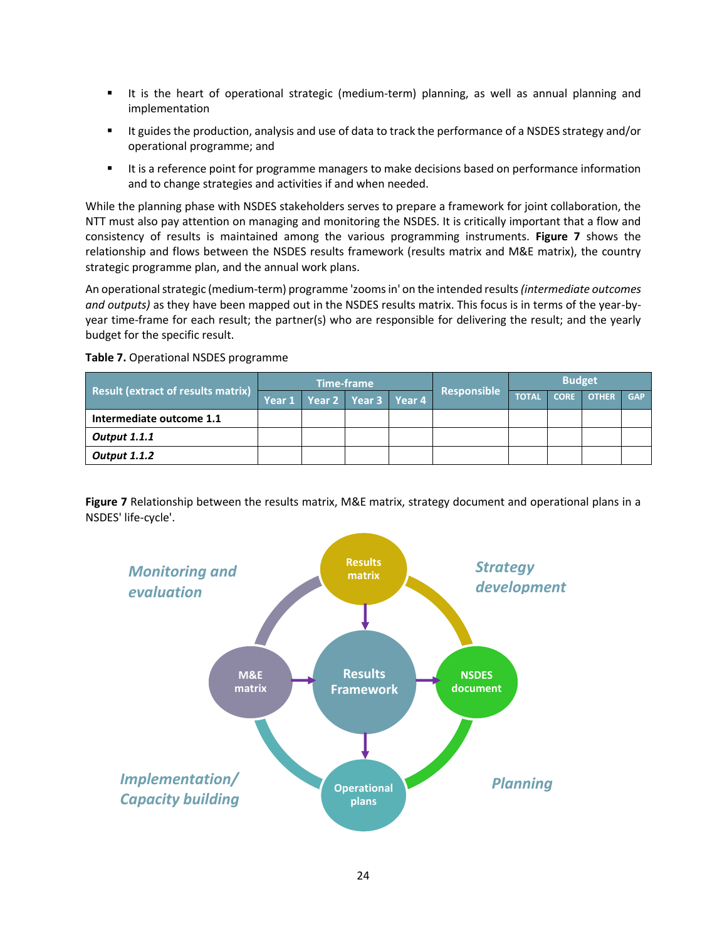- It is the heart of operational strategic (medium-term) planning, as well as annual planning and implementation
- It guides the production, analysis and use of data to track the performance of a NSDES strategy and/or operational programme; and
- It is a reference point for programme managers to make decisions based on performance information and to change strategies and activities if and when needed.

While the planning phase with NSDES stakeholders serves to prepare a framework for joint collaboration, the NTT must also pay attention on managing and monitoring the NSDES. It is critically important that a flow and consistency of results is maintained among the various programming instruments. **Figure 7** shows the relationship and flows between the NSDES results framework (results matrix and M&E matrix), the country strategic programme plan, and the annual work plans.

An operational strategic (medium-term) programme 'zooms in' on the intended results *(intermediate outcomes and outputs)* as they have been mapped out in the NSDES results matrix. This focus is in terms of the year-byyear time-frame for each result; the partner(s) who are responsible for delivering the result; and the yearly budget for the specific result.

## **Table 7.** Operational NSDES programme

|                                           |        |                      | <b>Time-frame</b> |                    | <b>Budget</b> |             |              |            |
|-------------------------------------------|--------|----------------------|-------------------|--------------------|---------------|-------------|--------------|------------|
| <b>Result (extract of results matrix)</b> | Year 1 | Year 2 Year 3 Year 4 |                   | <b>Responsible</b> | <b>TOTAI</b>  | <b>CORE</b> | <b>OTHER</b> | <b>GAP</b> |
| Intermediate outcome 1.1                  |        |                      |                   |                    |               |             |              |            |
| <b>Output 1.1.1</b>                       |        |                      |                   |                    |               |             |              |            |
| <b>Output 1.1.2</b>                       |        |                      |                   |                    |               |             |              |            |

**Figure 7** Relationship between the results matrix, M&E matrix, strategy document and operational plans in a NSDES' life-cycle'.

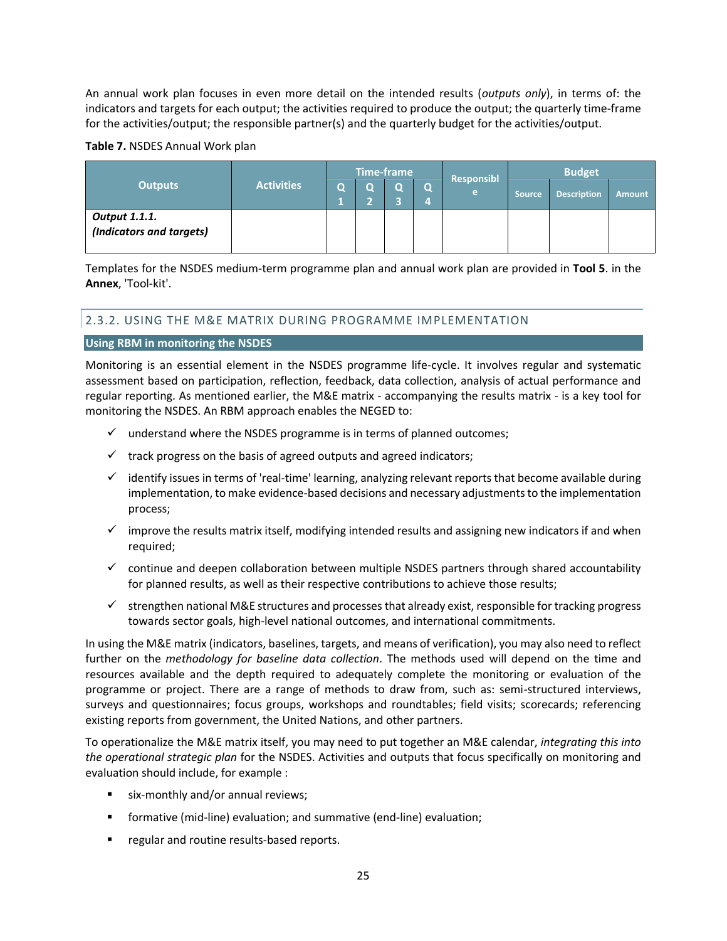An annual work plan focuses in even more detail on the intended results (*outputs only*), in terms of: the indicators and targets for each output; the activities required to produce the output; the quarterly time-frame for the activities/output; the responsible partner(s) and the quarterly budget for the activities/output.

|                                                  |                   |   |   | <b>Time-frame</b> |          |                 | <b>Budget</b> |                    |               |
|--------------------------------------------------|-------------------|---|---|-------------------|----------|-----------------|---------------|--------------------|---------------|
| <b>Outputs</b>                                   | <b>Activities</b> | O | O | O                 | $\Omega$ | Responsibl<br>e | <b>Source</b> | <b>Description</b> | <b>Amount</b> |
| <b>Output 1.1.1.</b><br>(Indicators and targets) |                   |   |   |                   |          |                 |               |                    |               |

Templates for the NSDES medium-term programme plan and annual work plan are provided in **Tool 5**. in the **Annex**, 'Tool-kit'.

# 2.3.2. USING THE M&E MATRIX DURING PROGRAMME IMPLEMENTATION

## **Using RBM in monitoring the NSDES**

Monitoring is an essential element in the NSDES programme life-cycle. It involves regular and systematic assessment based on participation, reflection, feedback, data collection, analysis of actual performance and regular reporting. As mentioned earlier, the M&E matrix - accompanying the results matrix - is a key tool for monitoring the NSDES. An RBM approach enables the NEGED to:

- $\checkmark$  understand where the NSDES programme is in terms of planned outcomes;
- $\checkmark$  track progress on the basis of agreed outputs and agreed indicators;
- $\checkmark$  identify issues in terms of 'real-time' learning, analyzing relevant reports that become available during implementation, to make evidence-based decisions and necessary adjustments to the implementation process;
- $\checkmark$  improve the results matrix itself, modifying intended results and assigning new indicators if and when required;
- $\checkmark$  continue and deepen collaboration between multiple NSDES partners through shared accountability for planned results, as well as their respective contributions to achieve those results;
- $\checkmark$  strengthen national M&E structures and processes that already exist, responsible for tracking progress towards sector goals, high-level national outcomes, and international commitments.

In using the M&E matrix (indicators, baselines, targets, and means of verification), you may also need to reflect further on the *methodology for baseline data collection*. The methods used will depend on the time and resources available and the depth required to adequately complete the monitoring or evaluation of the programme or project. There are a range of methods to draw from, such as: semi-structured interviews, surveys and questionnaires; focus groups, workshops and roundtables; field visits; scorecards; referencing existing reports from government, the United Nations, and other partners.

To operationalize the M&E matrix itself, you may need to put together an M&E calendar, *integrating this into the operational strategic plan* for the NSDES. Activities and outputs that focus specifically on monitoring and evaluation should include, for example :

- six-monthly and/or annual reviews;
- formative (mid-line) evaluation; and summative (end-line) evaluation;
- **F** regular and routine results-based reports.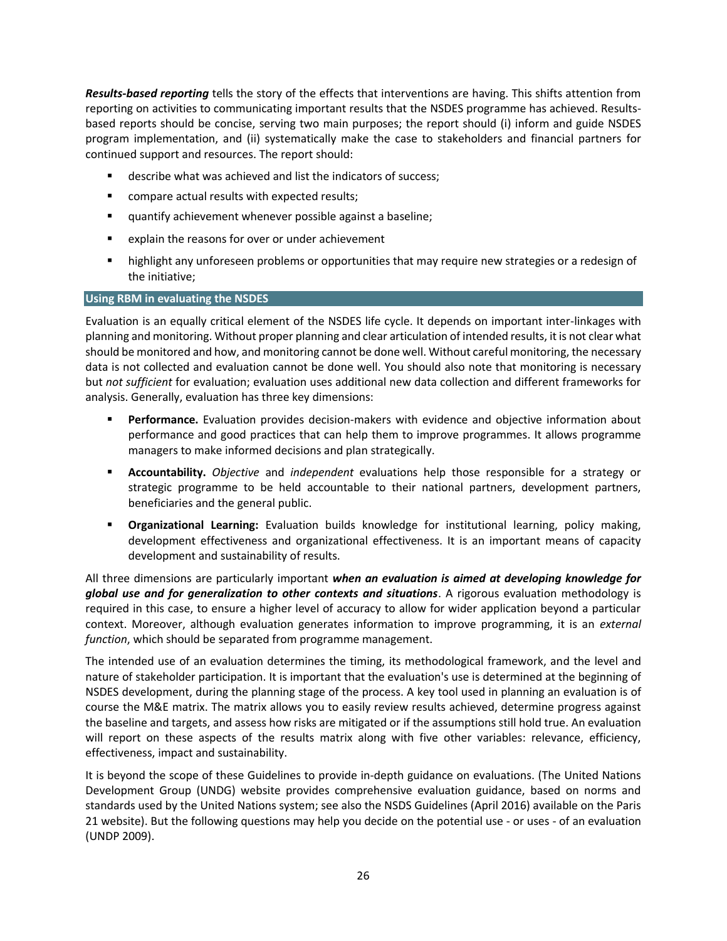*Results-based reporting* tells the story of the effects that interventions are having. This shifts attention from reporting on activities to communicating important results that the NSDES programme has achieved. Resultsbased reports should be concise, serving two main purposes; the report should (i) inform and guide NSDES program implementation, and (ii) systematically make the case to stakeholders and financial partners for continued support and resources. The report should:

- describe what was achieved and list the indicators of success;
- **EXECOMPARE ACTUAL RESULTS WITH EXPECTED FESTIVES**;
- quantify achievement whenever possible against a baseline;
- explain the reasons for over or under achievement
- **•** highlight any unforeseen problems or opportunities that may require new strategies or a redesign of the initiative;

#### **Using RBM in evaluating the NSDES**

Evaluation is an equally critical element of the NSDES life cycle. It depends on important inter-linkages with planning and monitoring. Without proper planning and clear articulation of intended results, it is not clear what should be monitored and how, and monitoring cannot be done well. Without careful monitoring, the necessary data is not collected and evaluation cannot be done well. You should also note that monitoring is necessary but *not sufficient* for evaluation; evaluation uses additional new data collection and different frameworks for analysis. Generally, evaluation has three key dimensions:

- **Performance.** Evaluation provides decision-makers with evidence and objective information about performance and good practices that can help them to improve programmes. It allows programme managers to make informed decisions and plan strategically.
- **Accountability.** *Objective* and *independent* evaluations help those responsible for a strategy or strategic programme to be held accountable to their national partners, development partners, beneficiaries and the general public.
- **Organizational Learning:** Evaluation builds knowledge for institutional learning, policy making, development effectiveness and organizational effectiveness. It is an important means of capacity development and sustainability of results.

All three dimensions are particularly important *when an evaluation is aimed at developing knowledge for global use and for generalization to other contexts and situations*. A rigorous evaluation methodology is required in this case, to ensure a higher level of accuracy to allow for wider application beyond a particular context. Moreover, although evaluation generates information to improve programming, it is an *external function*, which should be separated from programme management.

The intended use of an evaluation determines the timing, its methodological framework, and the level and nature of stakeholder participation. It is important that the evaluation's use is determined at the beginning of NSDES development, during the planning stage of the process. A key tool used in planning an evaluation is of course the M&E matrix. The matrix allows you to easily review results achieved, determine progress against the baseline and targets, and assess how risks are mitigated or if the assumptions still hold true. An evaluation will report on these aspects of the results matrix along with five other variables: relevance, efficiency, effectiveness, impact and sustainability.

It is beyond the scope of these Guidelines to provide in-depth guidance on evaluations. (The United Nations Development Group (UNDG) website provides comprehensive evaluation guidance, based on norms and standards used by the United Nations system; see also the NSDS Guidelines (April 2016) available on the Paris 21 website). But the following questions may help you decide on the potential use - or uses - of an evaluation (UNDP 2009).